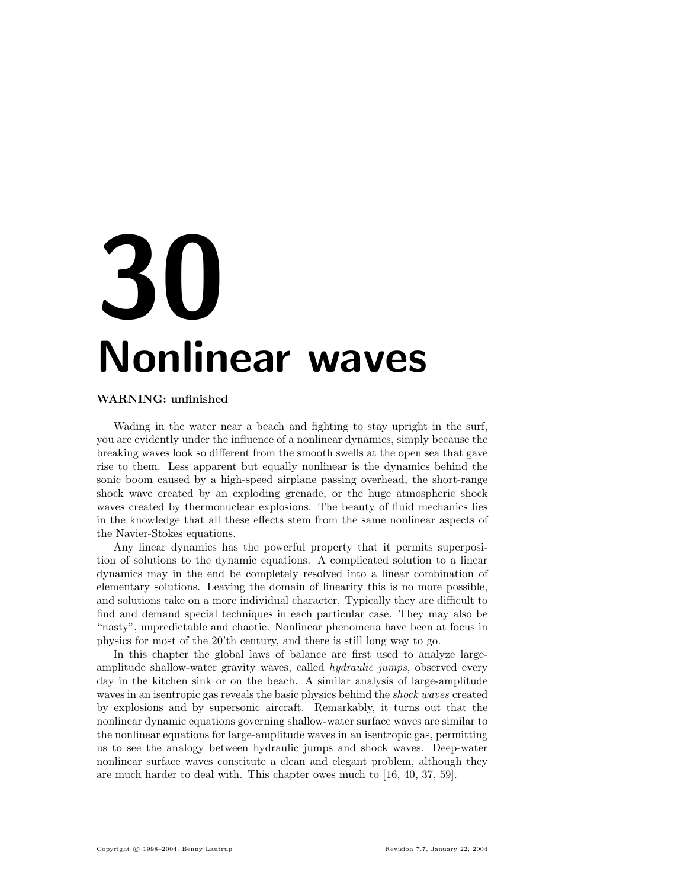# 30 Nonlinear waves

## WARNING: unfinished

Wading in the water near a beach and fighting to stay upright in the surf, you are evidently under the influence of a nonlinear dynamics, simply because the breaking waves look so different from the smooth swells at the open sea that gave rise to them. Less apparent but equally nonlinear is the dynamics behind the sonic boom caused by a high-speed airplane passing overhead, the short-range shock wave created by an exploding grenade, or the huge atmospheric shock waves created by thermonuclear explosions. The beauty of fluid mechanics lies in the knowledge that all these effects stem from the same nonlinear aspects of the Navier-Stokes equations.

Any linear dynamics has the powerful property that it permits superposition of solutions to the dynamic equations. A complicated solution to a linear dynamics may in the end be completely resolved into a linear combination of elementary solutions. Leaving the domain of linearity this is no more possible, and solutions take on a more individual character. Typically they are difficult to find and demand special techniques in each particular case. They may also be "nasty", unpredictable and chaotic. Nonlinear phenomena have been at focus in physics for most of the 20'th century, and there is still long way to go.

In this chapter the global laws of balance are first used to analyze largeamplitude shallow-water gravity waves, called hydraulic jumps, observed every day in the kitchen sink or on the beach. A similar analysis of large-amplitude waves in an isentropic gas reveals the basic physics behind the *shock waves* created by explosions and by supersonic aircraft. Remarkably, it turns out that the nonlinear dynamic equations governing shallow-water surface waves are similar to the nonlinear equations for large-amplitude waves in an isentropic gas, permitting us to see the analogy between hydraulic jumps and shock waves. Deep-water nonlinear surface waves constitute a clean and elegant problem, although they are much harder to deal with. This chapter owes much to [16, 40, 37, 59].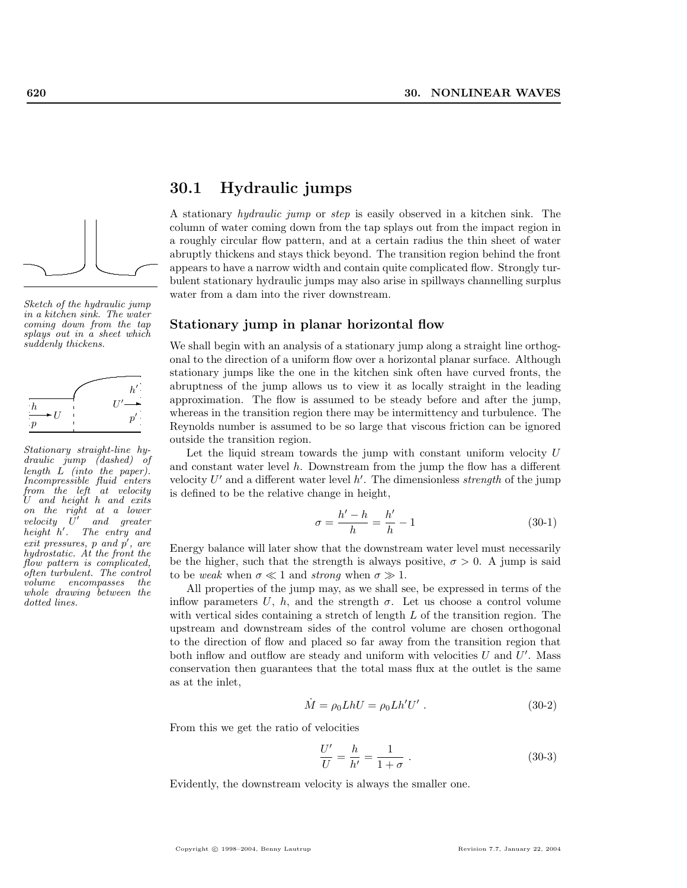

Sketch of the hydraulic jump in a kitchen sink. The water coming down from the tap splays out in a sheet which suddenly thickens.



Stationary straight-line hydraulic jump (dashed) of length L (into the paper). Incompressible fluid enters from the left at velocity U and height h and exits on the right at a lower velocity  $\tilde{U}'$ and greater height h'. The entry and exit pressures,  $p$  and  $p'$ , are hydrostatic. At the front the flow pattern is complicated, often turbulent. The control volume encompasses the whole drawing between the dotted lines.

## 30.1 Hydraulic jumps

A stationary hydraulic jump or step is easily observed in a kitchen sink. The column of water coming down from the tap splays out from the impact region in a roughly circular flow pattern, and at a certain radius the thin sheet of water abruptly thickens and stays thick beyond. The transition region behind the front appears to have a narrow width and contain quite complicated flow. Strongly turbulent stationary hydraulic jumps may also arise in spillways channelling surplus water from a dam into the river downstream.

## Stationary jump in planar horizontal flow

We shall begin with an analysis of a stationary jump along a straight line orthogonal to the direction of a uniform flow over a horizontal planar surface. Although stationary jumps like the one in the kitchen sink often have curved fronts, the abruptness of the jump allows us to view it as locally straight in the leading approximation. The flow is assumed to be steady before and after the jump, whereas in the transition region there may be intermittency and turbulence. The Reynolds number is assumed to be so large that viscous friction can be ignored outside the transition region.

Let the liquid stream towards the jump with constant uniform velocity  $U$ and constant water level  $h$ . Downstream from the jump the flow has a different velocity  $U'$  and a different water level  $h'$ . The dimensionless *strength* of the jump is defined to be the relative change in height,

$$
\sigma = \frac{h'-h}{h} = \frac{h'}{h} - 1\tag{30-1}
$$

Energy balance will later show that the downstream water level must necessarily be the higher, such that the strength is always positive,  $\sigma > 0$ . A jump is said to be weak when  $\sigma \ll 1$  and strong when  $\sigma \gg 1$ .

All properties of the jump may, as we shall see, be expressed in terms of the inflow parameters U, h, and the strength  $\sigma$ . Let us choose a control volume with vertical sides containing a stretch of length  $L$  of the transition region. The upstream and downstream sides of the control volume are chosen orthogonal to the direction of flow and placed so far away from the transition region that both inflow and outflow are steady and uniform with velocities  $U$  and  $U'$ . Mass conservation then guarantees that the total mass flux at the outlet is the same as at the inlet,

$$
\dot{M} = \rho_0 L h U = \rho_0 L h' U' . \qquad (30-2)
$$

From this we get the ratio of velocities

$$
\frac{U'}{U} = \frac{h}{h'} = \frac{1}{1+\sigma} \ . \tag{30-3}
$$

Evidently, the downstream velocity is always the smaller one.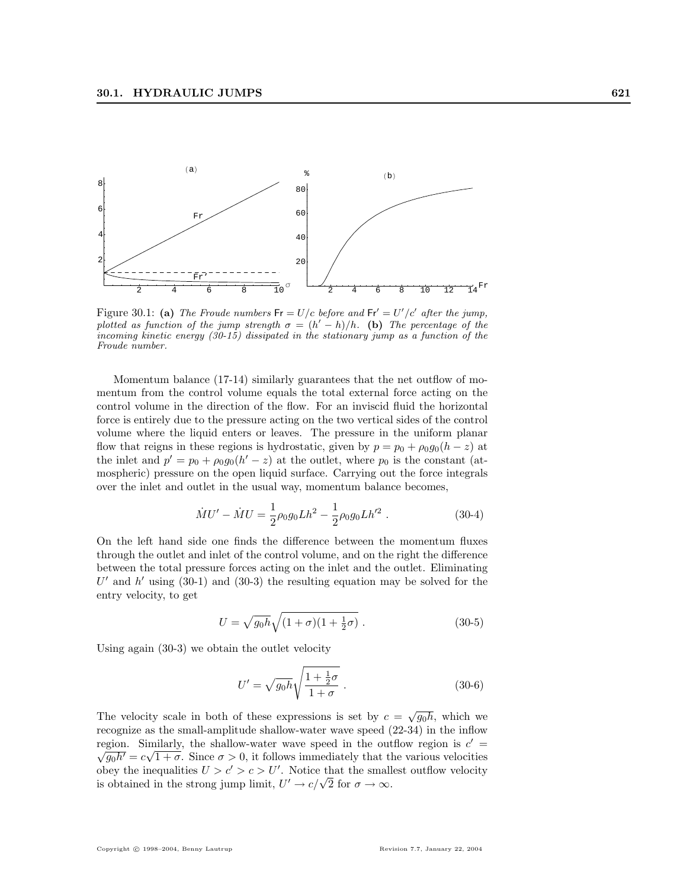

Figure 30.1: (a) The Froude numbers  $Fr = U/c$  before and  $Fr' = U'/c'$  after the jump, plotted as function of the jump strength  $\sigma = (h' - h)/h$ . (b) The percentage of the incoming kinetic energy (30-15) dissipated in the stationary jump as a function of the Froude number.

Momentum balance (17-14) similarly guarantees that the net outflow of momentum from the control volume equals the total external force acting on the control volume in the direction of the flow. For an inviscid fluid the horizontal force is entirely due to the pressure acting on the two vertical sides of the control volume where the liquid enters or leaves. The pressure in the uniform planar flow that reigns in these regions is hydrostatic, given by  $p = p_0 + \rho_0 g_0(h - z)$  at the inlet and  $p' = p_0 + \rho_0 g_0(h'-z)$  at the outlet, where  $p_0$  is the constant (atmospheric) pressure on the open liquid surface. Carrying out the force integrals over the inlet and outlet in the usual way, momentum balance becomes,

$$
\dot{M}U' - \dot{M}U = \frac{1}{2}\rho_0 g_0 L h^2 - \frac{1}{2}\rho_0 g_0 L h'^2 \tag{30-4}
$$

On the left hand side one finds the difference between the momentum fluxes through the outlet and inlet of the control volume, and on the right the difference between the total pressure forces acting on the inlet and the outlet. Eliminating  $U'$  and  $h'$  using (30-1) and (30-3) the resulting equation may be solved for the entry velocity, to get

$$
U = \sqrt{g_0 h} \sqrt{(1+\sigma)(1+\frac{1}{2}\sigma)} . \tag{30-5}
$$

Using again (30-3) we obtain the outlet velocity

$$
U' = \sqrt{g_0 h} \sqrt{\frac{1 + \frac{1}{2}\sigma}{1 + \sigma}}.
$$
\n(30-6)

The velocity scale in both of these expressions is set by  $c = \sqrt{g_0 h}$ , which we recognize as the small-amplitude shallow-water wave speed (22-34) in the inflow region. Similarly, the shallow-water wave speed in the outflow region is  $c' = \sqrt{a^2 + b^2}$  $\overline{g_0h'}=c\sqrt{1+\sigma}$ . Since  $\sigma>0$ , it follows immediately that the various velocities obey the inequalities  $U > c' > c > U'$ . Notice that the smallest outflow velocity obey the inequalities  $0 > c > c > 0$ . Notice that the small<br>is obtained in the strong jump limit,  $U' \rightarrow c/\sqrt{2}$  for  $\sigma \rightarrow \infty$ .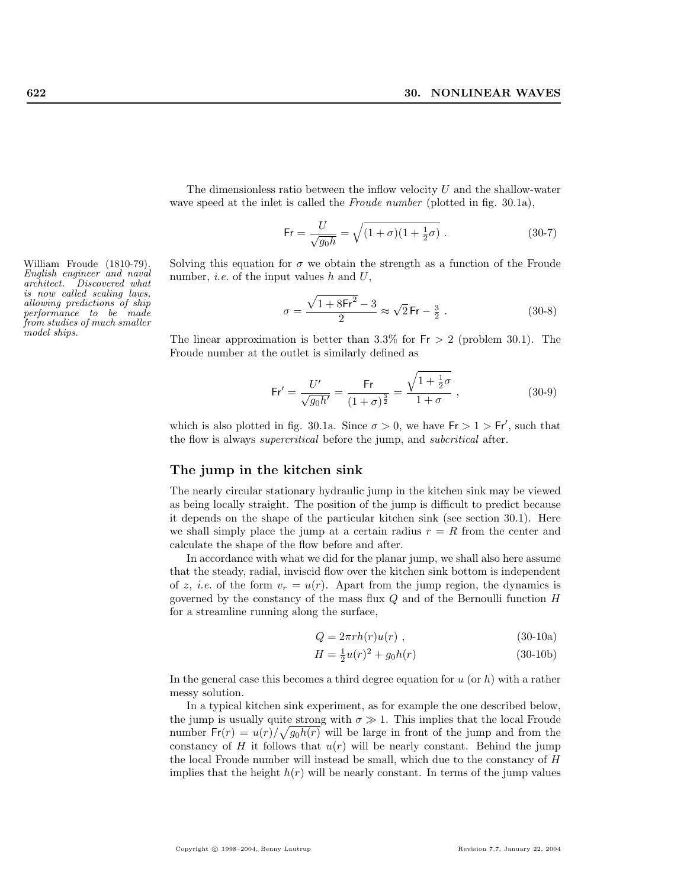The dimensionless ratio between the inflow velocity  $U$  and the shallow-water wave speed at the inlet is called the *Froude number* (plotted in fig. 30.1a),

$$
\mathsf{Fr} = \frac{U}{\sqrt{g_0 h}} = \sqrt{(1+\sigma)(1+\frac{1}{2}\sigma)} \ . \tag{30-7}
$$

William Froude (1810-79). Solving this equation for  $\sigma$  we obtain the strength as a function of the Froude number, *i.e.* of the input values  $h$  and  $U$ ,

$$
\sigma = \frac{\sqrt{1 + 8\text{Fr}^2} - 3}{2} \approx \sqrt{2}\,\text{Fr} - \frac{3}{2} \,. \tag{30-8}
$$

The linear approximation is better than  $3.3\%$  for  $Fr > 2$  (problem 30.1). The Froude number at the outlet is similarly defined as

$$
\mathsf{Fr}' = \frac{U'}{\sqrt{g_0 h'}} = \frac{\mathsf{Fr}}{(1+\sigma)^{\frac{3}{2}}} = \frac{\sqrt{1+\frac{1}{2}\sigma}}{1+\sigma} , \qquad (30-9)
$$

which is also plotted in fig. 30.1a. Since  $\sigma > 0$ , we have  $Fr > 1 > Fr'$ , such that the flow is always supercritical before the jump, and subcritical after.

## The jump in the kitchen sink

The nearly circular stationary hydraulic jump in the kitchen sink may be viewed as being locally straight. The position of the jump is difficult to predict because it depends on the shape of the particular kitchen sink (see section 30.1). Here we shall simply place the jump at a certain radius  $r = R$  from the center and calculate the shape of the flow before and after.

In accordance with what we did for the planar jump, we shall also here assume that the steady, radial, inviscid flow over the kitchen sink bottom is independent of z, *i.e.* of the form  $v_r = u(r)$ . Apart from the jump region, the dynamics is governed by the constancy of the mass flux  $Q$  and of the Bernoulli function  $H$ for a streamline running along the surface,

$$
Q = 2\pi rh(r)u(r) , \qquad (30-10a)
$$

$$
H = \frac{1}{2}u(r)^2 + g_0h(r)
$$
 (30-10b)

In the general case this becomes a third degree equation for  $u$  (or  $h$ ) with a rather messy solution.

In a typical kitchen sink experiment, as for example the one described below, the jump is usually quite strong with  $\sigma \gg 1$ . This implies that the local Froude number  $\mathsf{Fr}(r) = u(r)/\sqrt{g_0 h(r)}$  will be large in front of the jump and from the constancy of  $H$  it follows that  $u(r)$  will be nearly constant. Behind the jump the local Froude number will instead be small, which due to the constancy of H implies that the height  $h(r)$  will be nearly constant. In terms of the jump values

English engineer and naval architect. Discovered what is now called scaling laws, allowing predictions of ship performance to be made from studies of much smaller model ships.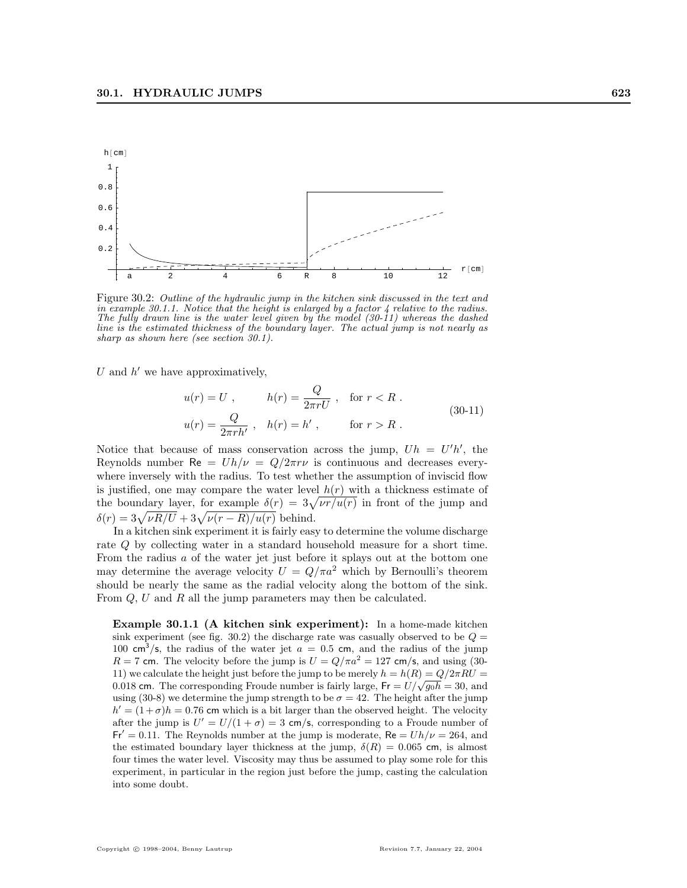

Figure 30.2: Outline of the hydraulic jump in the kitchen sink discussed in the text and in example 30.1.1. Notice that the height is enlarged by a factor 4 relative to the radius. The fully drawn line is the water level given by the model (30-11) whereas the dashed line is the estimated thickness of the boundary layer. The actual jump is not nearly as sharp as shown here (see section 30.1).

U and  $h'$  we have approximatively,

$$
u(r) = U, \t h(r) = \frac{Q}{2\pi rU}, \t \text{for } r < R.
$$
\n
$$
u(r) = \frac{Q}{2\pi rh'}, \t h(r) = h', \t \text{for } r > R.
$$
\n
$$
(30-11)
$$

Notice that because of mass conservation across the jump,  $Uh = U'h'$ , the Reynolds number  $\text{Re} = Uh/\nu = Q/2\pi r\nu$  is continuous and decreases everywhere inversely with the radius. To test whether the assumption of inviscid flow is justified, one may compare the water level  $h(r)$  with a thickness estimate of is justified, one may compare the water level  $h(r)$  with a thickness estimate of the boundary layer, for example  $\delta(r) = 3\sqrt{\nu r/u(r)}$  in front of the jump and the boundary layer, for example  $\delta(r) = 3\sqrt{\nu R/U} + 3\sqrt{\nu (r - R)/u(r)}$  behind.

In a kitchen sink experiment it is fairly easy to determine the volume discharge rate Q by collecting water in a standard household measure for a short time. From the radius a of the water jet just before it splays out at the bottom one may determine the average velocity  $U = Q/\pi a^2$  which by Bernoulli's theorem should be nearly the same as the radial velocity along the bottom of the sink. From Q, U and R all the jump parameters may then be calculated.

Example 30.1.1 (A kitchen sink experiment): In a home-made kitchen sink experiment (see fig. 30.2) the discharge rate was casually observed to be  $Q =$ 100 cm<sup>3</sup>/s, the radius of the water jet  $a = 0.5$  cm, and the radius of the jump  $R = 7$  cm. The velocity before the jump is  $U = Q/\pi a^2 = 127$  cm/s, and using (30-11) we calculate the height just before the jump to be merely  $h = h(R) = Q/2\pi RU =$ 11) we calculate the height just before the jump to be merely  $n = n(\mathbf{R}) = Q/2\pi \mathbf{R}U = 0.018$  cm. The corresponding Froude number is fairly large,  $Fr = U/\sqrt{g_0 \hbar} = 30$ , and using (30-8) we determine the jump strength to be  $\sigma = 42$ . The height after the jump  $h' = (1 + \sigma)h = 0.76$  cm which is a bit larger than the observed height. The velocity after the jump is  $U' = U/(1 + \sigma) = 3$  cm/s, corresponding to a Froude number of  $Fr' = 0.11$ . The Reynolds number at the jump is moderate, Re =  $Uh/\nu = 264$ , and the estimated boundary layer thickness at the jump,  $\delta(R) = 0.065$  cm, is almost four times the water level. Viscosity may thus be assumed to play some role for this experiment, in particular in the region just before the jump, casting the calculation into some doubt.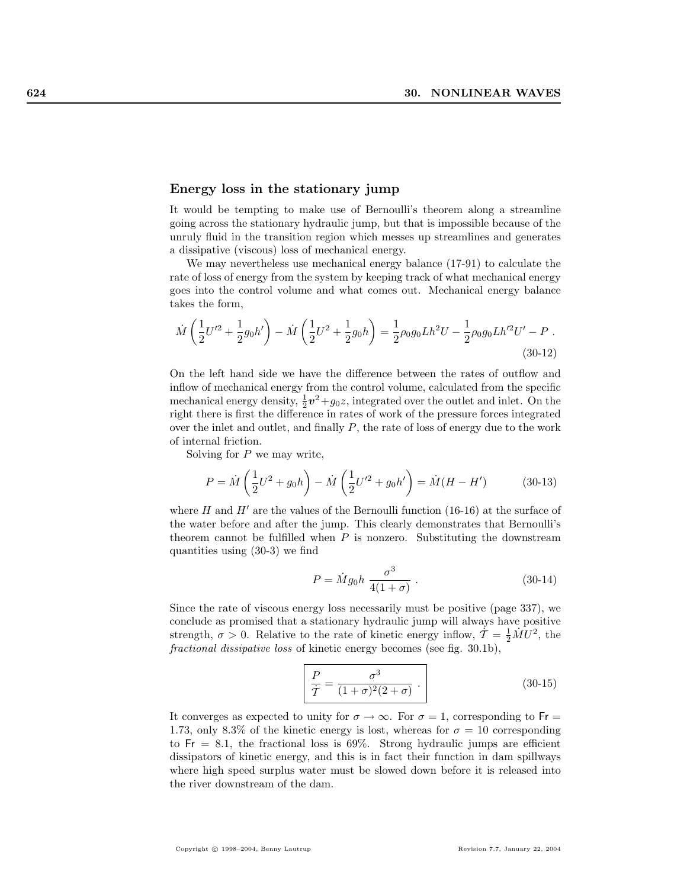#### Energy loss in the stationary jump

It would be tempting to make use of Bernoulli's theorem along a streamline going across the stationary hydraulic jump, but that is impossible because of the unruly fluid in the transition region which messes up streamlines and generates a dissipative (viscous) loss of mechanical energy.

We may nevertheless use mechanical energy balance (17-91) to calculate the rate of loss of energy from the system by keeping track of what mechanical energy goes into the control volume and what comes out. Mechanical energy balance takes the form,

$$
\dot{M}\left(\frac{1}{2}U'^{2} + \frac{1}{2}g_{0}h'\right) - \dot{M}\left(\frac{1}{2}U^{2} + \frac{1}{2}g_{0}h\right) = \frac{1}{2}\rho_{0}g_{0}Lh^{2}U - \frac{1}{2}\rho_{0}g_{0}Lh'^{2}U' - P.
$$
\n(30-12)

On the left hand side we have the difference between the rates of outflow and inflow of mechanical energy from the control volume, calculated from the specific mechanical energy density,  $\frac{1}{2}v^2+g_0z$ , integrated over the outlet and inlet. On the right there is first the difference in rates of work of the pressure forces integrated over the inlet and outlet, and finally  $P$ , the rate of loss of energy due to the work of internal friction.

Solving for  $P$  we may write,

$$
P = \dot{M} \left( \frac{1}{2} U^2 + g_0 h \right) - \dot{M} \left( \frac{1}{2} U'^2 + g_0 h' \right) = \dot{M} (H - H') \tag{30-13}
$$

where H and  $H'$  are the values of the Bernoulli function (16-16) at the surface of the water before and after the jump. This clearly demonstrates that Bernoulli's theorem cannot be fulfilled when  $P$  is nonzero. Substituting the downstream quantities using (30-3) we find

$$
P = \dot{M}g_0h \frac{\sigma^3}{4(1+\sigma)} \,. \tag{30-14}
$$

Since the rate of viscous energy loss necessarily must be positive (page 337), we conclude as promised that a stationary hydraulic jump will always have positive strength,  $\sigma > 0$ . Relative to the rate of kinetic energy inflow,  $\dot{\mathcal{T}} = \frac{1}{2} \dot{M} U^2$ , the fractional dissipative loss of kinetic energy becomes (see fig. 30.1b),

$$
\frac{P}{\dot{\mathcal{T}}} = \frac{\sigma^3}{(1+\sigma)^2(2+\sigma)} \ . \tag{30-15}
$$

It converges as expected to unity for  $\sigma \to \infty$ . For  $\sigma = 1$ , corresponding to Fr 1.73, only 8.3% of the kinetic energy is lost, whereas for  $\sigma = 10$  corresponding to  $Fr = 8.1$ , the fractional loss is 69%. Strong hydraulic jumps are efficient dissipators of kinetic energy, and this is in fact their function in dam spillways where high speed surplus water must be slowed down before it is released into the river downstream of the dam.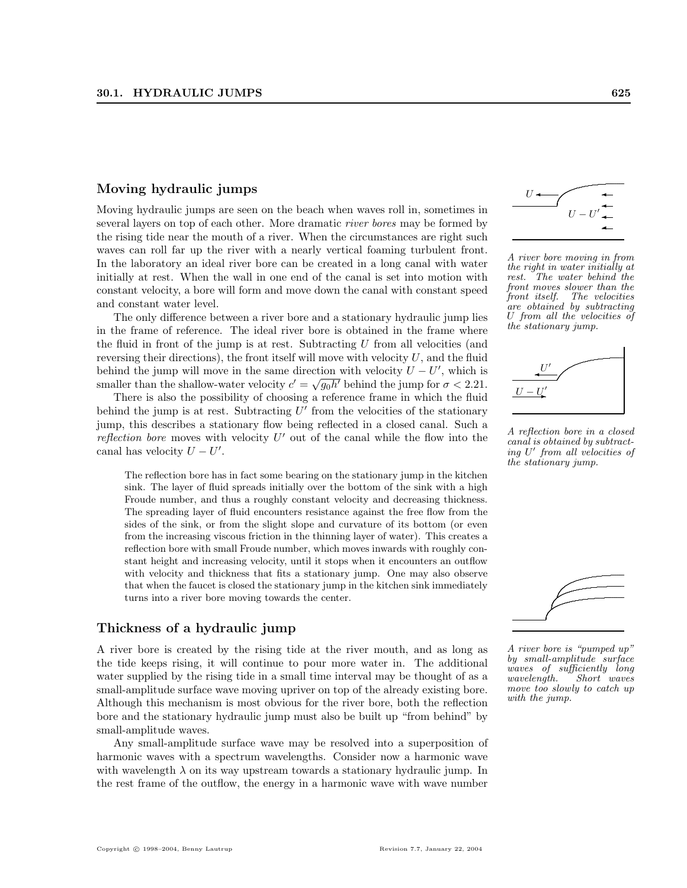## Moving hydraulic jumps

Moving hydraulic jumps are seen on the beach when waves roll in, sometimes in several layers on top of each other. More dramatic river bores may be formed by the rising tide near the mouth of a river. When the circumstances are right such waves can roll far up the river with a nearly vertical foaming turbulent front. In the laboratory an ideal river bore can be created in a long canal with water initially at rest. When the wall in one end of the canal is set into motion with constant velocity, a bore will form and move down the canal with constant speed and constant water level.

The only difference between a river bore and a stationary hydraulic jump lies in the frame of reference. The ideal river bore is obtained in the frame where the fluid in front of the jump is at rest. Subtracting  $U$  from all velocities (and reversing their directions), the front itself will move with velocity  $U$ , and the fluid behind the jump will move in the same direction with velocity  $U - U'$ , which is smaller than the shallow-water velocity  $c' = \sqrt{g_0 h'}$  behind the jump for  $\sigma < 2.21$ .

There is also the possibility of choosing a reference frame in which the fluid behind the jump is at rest. Subtracting  $U'$  from the velocities of the stationary jump, this describes a stationary flow being reflected in a closed canal. Such a reflection bore moves with velocity  $U'$  out of the canal while the flow into the canal has velocity  $U - U'$ .

The reflection bore has in fact some bearing on the stationary jump in the kitchen sink. The layer of fluid spreads initially over the bottom of the sink with a high Froude number, and thus a roughly constant velocity and decreasing thickness. The spreading layer of fluid encounters resistance against the free flow from the sides of the sink, or from the slight slope and curvature of its bottom (or even from the increasing viscous friction in the thinning layer of water). This creates a reflection bore with small Froude number, which moves inwards with roughly constant height and increasing velocity, until it stops when it encounters an outflow with velocity and thickness that fits a stationary jump. One may also observe that when the faucet is closed the stationary jump in the kitchen sink immediately turns into a river bore moving towards the center.

## Thickness of a hydraulic jump

A river bore is created by the rising tide at the river mouth, and as long as the tide keeps rising, it will continue to pour more water in. The additional water supplied by the rising tide in a small time interval may be thought of as a small-amplitude surface wave moving upriver on top of the already existing bore. Although this mechanism is most obvious for the river bore, both the reflection bore and the stationary hydraulic jump must also be built up "from behind" by small-amplitude waves.

Any small-amplitude surface wave may be resolved into a superposition of harmonic waves with a spectrum wavelengths. Consider now a harmonic wave with wavelength  $\lambda$  on its way upstream towards a stationary hydraulic jump. In the rest frame of the outflow, the energy in a harmonic wave with wave number



A river bore moving in from the right in water initially at rest. The water behind the front moves slower than the front itself. The velocities are obtained by subtracting U from all the velocities of the stationary jump.



A reflection bore in a closed canal is obtained by subtracting U' from all velocities of the stationary jump.



 $A$  river bore is "pumped up" by small-amplitude surface waves of sufficiently long wavelength. Short waves move too slowly to catch up with the jump.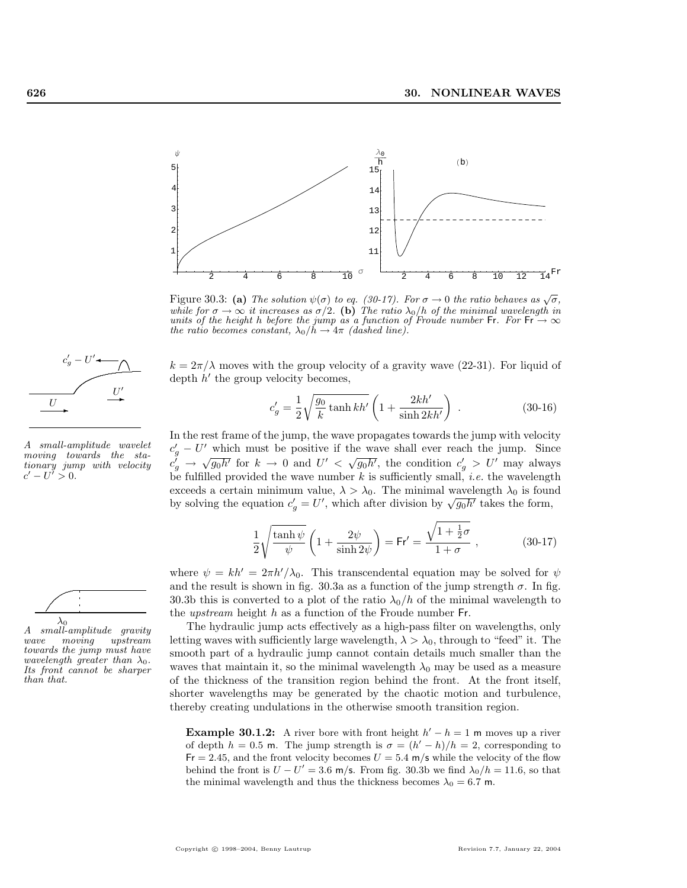

Figure 30.3: (a) The solution  $\psi(\sigma)$  to eq. (30-17). For  $\sigma \to 0$  the ratio behaves as  $\sqrt{\sigma}$ , while for  $\sigma \to \infty$  it increases as  $\sigma/2$ . (b) The ratio  $\lambda_0/h$  of the minimal wavelength in units of the height h before the jump as a function of Froude number Fr. For Fr  $\rightarrow \infty$ the ratio becomes constant,  $\lambda_0/h \rightarrow 4\pi$  (dashed line).

 $k = 2\pi/\lambda$  moves with the group velocity of a gravity wave (22-31). For liquid of depth  $h'$  the group velocity becomes,

$$
c'_{g} = \frac{1}{2} \sqrt{\frac{g_0}{k} \tanh kh'} \left( 1 + \frac{2kh'}{\sinh 2kh'} \right) .
$$
 (30-16)

In the rest frame of the jump, the wave propagates towards the jump with velocity  $c'_{g} - U'$  which must be positive if the wave shall ever reach the jump. Since  $c_g^0 \to \sqrt{g_0 h'}$  for  $k \to 0$  and  $U' < \sqrt{g_0 h'}$ , the condition  $c_g' > U'$  may always be fulfilled provided the wave number  $k$  is sufficiently small, *i.e.* the wavelength exceeds a certain minimum value,  $\lambda > \lambda_0$ . The minimal wavelength  $\lambda_0$  is found exceeds a certain minimum value,  $\lambda > \lambda_0$ . The minimal wavelength  $\lambda_0$  is found by solving the equation  $c'_g = U'$ , which after division by  $\sqrt{g_0 h'}$  takes the form,

$$
\frac{1}{2}\sqrt{\frac{\tanh\psi}{\psi}}\left(1+\frac{2\psi}{\sinh 2\psi}\right) = \mathsf{Fr}' = \frac{\sqrt{1+\frac{1}{2}\sigma}}{1+\sigma},\qquad(30-17)
$$

where  $\psi = kh' = 2\pi h'/\lambda_0$ . This transcendental equation may be solved for  $\psi$ and the result is shown in fig. 30.3a as a function of the jump strength  $\sigma$ . In fig. 30.3b this is converted to a plot of the ratio  $\lambda_0/h$  of the minimal wavelength to the *upstream* height h as a function of the Froude number  $Fr$ .

The hydraulic jump acts effectively as a high-pass filter on wavelengths, only letting waves with sufficiently large wavelength,  $\lambda > \lambda_0$ , through to "feed" it. The smooth part of a hydraulic jump cannot contain details much smaller than the waves that maintain it, so the minimal wavelength  $\lambda_0$  may be used as a measure of the thickness of the transition region behind the front. At the front itself, shorter wavelengths may be generated by the chaotic motion and turbulence, thereby creating undulations in the otherwise smooth transition region.

**Example 30.1.2:** A river bore with front height  $h' - h = 1$  m moves up a river of depth  $h = 0.5$  m. The jump strength is  $\sigma = (h' - h)/h = 2$ , corresponding to  $Fr = 2.45$ , and the front velocity becomes  $U = 5.4$  m/s while the velocity of the flow behind the front is  $U - U' = 3.6$  m/s. From fig. 30.3b we find  $\lambda_0/h = 11.6$ , so that the minimal wavelength and thus the thickness becomes  $\lambda_0 = 6.7$  m.



A small-amplitude wavelet moving towards the stationary jump with velocity  $c'-U' > 0.$ 



A small-amplitude gravity wave moving upstream towards the jump must have wavelength greater than  $\lambda_0$ . Its front cannot be sharper than that.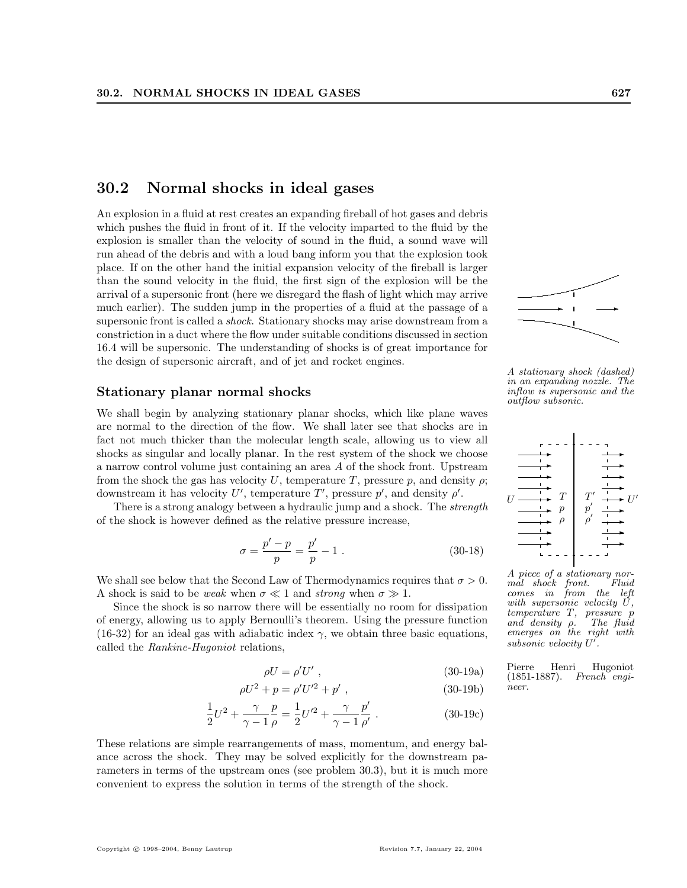## 30.2 Normal shocks in ideal gases

An explosion in a fluid at rest creates an expanding fireball of hot gases and debris which pushes the fluid in front of it. If the velocity imparted to the fluid by the explosion is smaller than the velocity of sound in the fluid, a sound wave will run ahead of the debris and with a loud bang inform you that the explosion took place. If on the other hand the initial expansion velocity of the fireball is larger than the sound velocity in the fluid, the first sign of the explosion will be the arrival of a supersonic front (here we disregard the flash of light which may arrive much earlier). The sudden jump in the properties of a fluid at the passage of a supersonic front is called a shock. Stationary shocks may arise downstream from a constriction in a duct where the flow under suitable conditions discussed in section 16.4 will be supersonic. The understanding of shocks is of great importance for the design of supersonic aircraft, and of jet and rocket engines.

## Stationary planar normal shocks

We shall begin by analyzing stationary planar shocks, which like plane waves are normal to the direction of the flow. We shall later see that shocks are in fact not much thicker than the molecular length scale, allowing us to view all shocks as singular and locally planar. In the rest system of the shock we choose a narrow control volume just containing an area A of the shock front. Upstream from the shock the gas has velocity U, temperature T, pressure p, and density  $\rho$ ; downstream it has velocity U', temperature T', pressure  $p'$ , and density  $\rho'$ .

There is a strong analogy between a hydraulic jump and a shock. The *strength* of the shock is however defined as the relative pressure increase,

$$
\sigma = \frac{p' - p}{p} = \frac{p'}{p} - 1 \tag{30-18}
$$

We shall see below that the Second Law of Thermodynamics requires that  $\sigma > 0$ . A shock is said to be weak when  $\sigma \ll 1$  and strong when  $\sigma \gg 1$ .

Since the shock is so narrow there will be essentially no room for dissipation of energy, allowing us to apply Bernoulli's theorem. Using the pressure function (16-32) for an ideal gas with adiabatic index  $\gamma$ , we obtain three basic equations, called the Rankine-Hugoniot relations,

$$
\rho U = \rho' U' \tag{30-19a}
$$

$$
\rho U^2 + p = \rho' U'^2 + p', \qquad (30-19b)
$$

$$
\frac{1}{2}U^2 + \frac{\gamma}{\gamma - 1} \frac{p}{\rho} = \frac{1}{2}U'^2 + \frac{\gamma}{\gamma - 1} \frac{p'}{\rho'}.
$$
 (30-19c)

These relations are simple rearrangements of mass, momentum, and energy balance across the shock. They may be solved explicitly for the downstream parameters in terms of the upstream ones (see problem 30.3), but it is much more convenient to express the solution in terms of the strength of the shock.

A stationary shock (dashed) in an expanding nozzle. The inflow is supersonic and the outflow subsonic.

 $\rightarrow$   $\rightarrow$ 

 $\overbrace{\phantom{aaaa}}$ 

..........................

....... ...........

. ........... ..



 $A$  piece of a stationary nor-<br>mal shock front Fluid  $m\ddot{a}l$  shock front. comes in from the left with supersonic velocity U,  $temperature$  T, pressure p<br>and density  $\rho$ . The fluid and density  $\rho$ . emerges on the right with  $subsonic$  velocity  $U'$ .

Pierre Henri Hugoniot<br>(1851-1887). French engi-French engineer.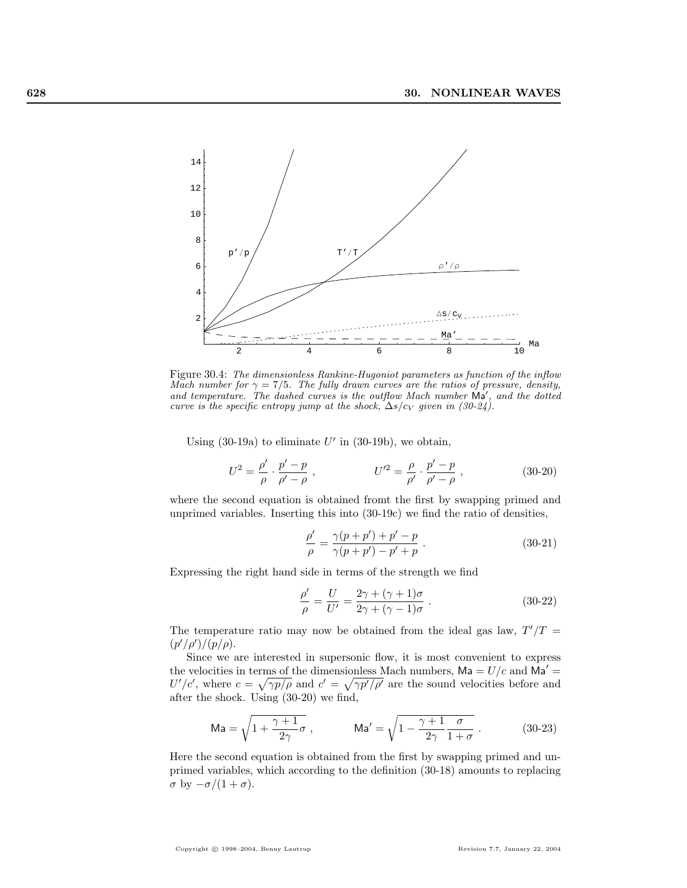

Figure 30.4: The dimensionless Rankine-Hugoniot parameters as function of the inflow Mach number for  $\gamma = 7/5$ . The fully drawn curves are the ratios of pressure, density, and temperature. The dashed curves is the outflow Mach number  $Ma'$ , and the dotted curve is the specific entropy jump at the shock,  $\Delta s/c_V$  given in (30-24).

Using  $(30-19a)$  to eliminate U' in  $(30-19b)$ , we obtain,

$$
U^{2} = \frac{\rho'}{\rho} \cdot \frac{p' - p}{\rho' - \rho} , \qquad U'^{2} = \frac{\rho}{\rho'} \cdot \frac{p' - p}{\rho' - \rho} , \qquad (30-20)
$$

where the second equation is obtained fromt the first by swapping primed and unprimed variables. Inserting this into (30-19c) we find the ratio of densities,

$$
\frac{\rho'}{\rho} = \frac{\gamma(p+p') + p' - p}{\gamma(p+p') - p' + p} \,. \tag{30-21}
$$

Expressing the right hand side in terms of the strength we find

$$
\frac{\rho'}{\rho} = \frac{U}{U'} = \frac{2\gamma + (\gamma + 1)\sigma}{2\gamma + (\gamma - 1)\sigma} .
$$
\n(30-22)

The temperature ratio may now be obtained from the ideal gas law,  $T'/T =$  $(p'/\rho')/(p/\rho).$ 

Since we are interested in supersonic flow, it is most convenient to express the velocities in terms of the dimensionless Mach numbers,  $\mathsf{Ma} = U/c$  and  $\mathsf{Ma}' =$  $U'/c'$ , where  $c = \sqrt{\gamma p/\rho}$  and  $c' = \sqrt{\gamma p'/\rho'}$  are the sound velocities before and after the shock. Using (30-20) we find,

$$
\mathrm{Ma} = \sqrt{1 + \frac{\gamma + 1}{2\gamma}} \sigma , \qquad \mathrm{Ma}' = \sqrt{1 - \frac{\gamma + 1}{2\gamma} \frac{\sigma}{1 + \sigma}} . \qquad (30-23)
$$

Here the second equation is obtained from the first by swapping primed and unprimed variables, which according to the definition (30-18) amounts to replacing  $\sigma$  by  $-\sigma/(1+\sigma)$ .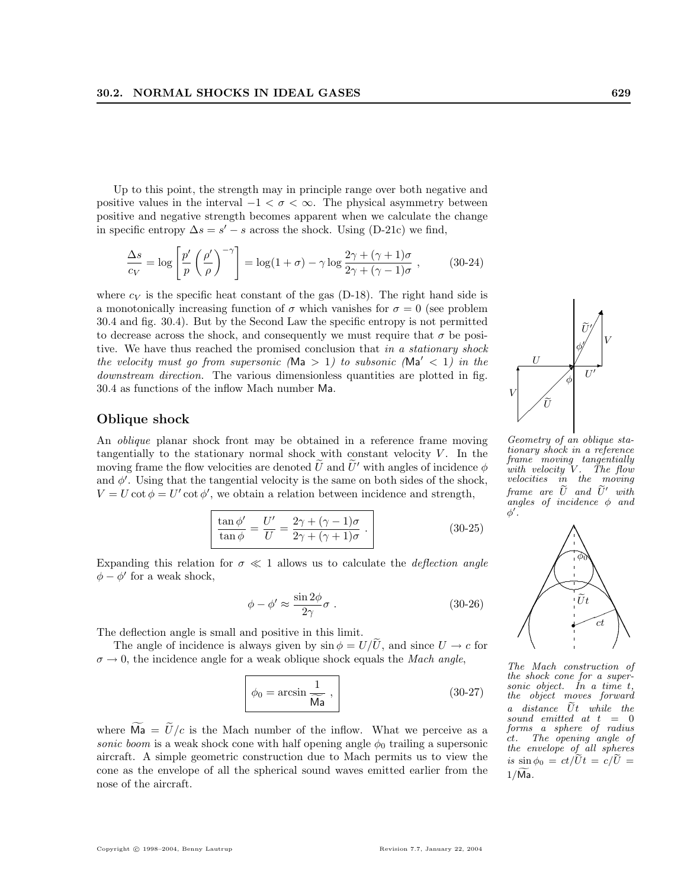Up to this point, the strength may in principle range over both negative and positive values in the interval  $-1 < \sigma < \infty$ . The physical asymmetry between positive and negative strength becomes apparent when we calculate the change in specific entropy  $\Delta s = s' - s$  across the shock. Using (D-21c) we find,

$$
\frac{\Delta s}{c_V} = \log \left[ \frac{p'}{p} \left( \frac{\rho'}{\rho} \right)^{-\gamma} \right] = \log(1 + \sigma) - \gamma \log \frac{2\gamma + (\gamma + 1)\sigma}{2\gamma + (\gamma - 1)\sigma}, \quad (30-24)
$$

where  $c_V$  is the specific heat constant of the gas (D-18). The right hand side is a monotonically increasing function of  $\sigma$  which vanishes for  $\sigma = 0$  (see problem 30.4 and fig. 30.4). But by the Second Law the specific entropy is not permitted to decrease across the shock, and consequently we must require that  $\sigma$  be positive. We have thus reached the promised conclusion that in a stationary shock the velocity must go from supersonic (Ma  $> 1$ ) to subsonic (Ma'  $< 1$ ) in the downstream direction. The various dimensionless quantities are plotted in fig. 30.4 as functions of the inflow Mach number Ma.

## Oblique shock

An oblique planar shock front may be obtained in a reference frame moving tangentially to the stationary normal shock with constant velocity  $V$ . In the moving frame the flow velocities are denoted  $\tilde{U}$  and  $\tilde{U}'$  with angles of incidence  $\phi$ and  $\phi'$ . Using that the tangential velocity is the same on both sides of the shock,  $V = U \cot \phi = U' \cot \phi'$ , we obtain a relation between incidence and strength,

$$
\frac{\tan \phi'}{\tan \phi} = \frac{U'}{U} = \frac{2\gamma + (\gamma - 1)\sigma}{2\gamma + (\gamma + 1)\sigma} \ .
$$
\n(30-25)

Expanding this relation for  $\sigma \ll 1$  allows us to calculate the *deflection angle*  $\phi - \phi'$  for a weak shock,

$$
\phi - \phi' \approx \frac{\sin 2\phi}{2\gamma} \sigma \,. \tag{30-26}
$$

The deflection angle is small and positive in this limit.

The angle of incidence is always given by  $\sin \phi = U/\tilde{U}$ , and since  $U \rightarrow c$  for  $\sigma \rightarrow 0$ , the incidence angle for a weak oblique shock equals the *Mach angle*,

$$
\phi_0 = \arcsin \frac{1}{\widetilde{Ma}},\tag{30-27}
$$

where  $\overline{Ma} = \tilde{U}/c$  is the Mach number of the inflow. What we perceive as a sonic boom is a weak shock cone with half opening angle  $\phi_0$  trailing a supersonic aircraft. A simple geometric construction due to Mach permits us to view the cone as the envelope of all the spherical sound waves emitted earlier from the nose of the aircraft.

¡  $\overline{\phantom{a}}$ /~.  $\mathcal{U}$ V Geometry of an oblique stationary shock in a reference frame moving tangentially with velocity  $V$ . The flow velocities in the moving frame are  $\tilde{U}$  and  $\tilde{U}'$  with angles of incidence  $\phi$  and

 $\phi'$  .

The Mach construction of the shock cone for a supersonic object. In a time t, the object moves forward  $a$  distance  $\tilde{U}t$  while the sound emitted at  $t = 0$ forms a sphere of radius ct. The opening angle of the envelope of all spheres is  $\sin \phi_0 = ct/\tilde{U}t = c/\tilde{U}$  $1/\widetilde{Ma}$ .

❆ ❆ ❆ ❆ ❆ ❆ ❆ ❆ ❆ ❆✁ ✁ ✁ ✁ ✁  $\overline{\phantom{a}}$ ✁ ✁ ✁ ✁  $\overline{\phantom{a}}$ 

.

. . .  $\checkmark$ ...... ...............................  $\lambda$ .. .

. .. ......... ......... ...

..

 $\tilde{U}t$ 

 $\widehat{\phi_0}$ 

 $\begin{matrix} \mathcal{L} \\ ct \end{matrix}$ r

ct

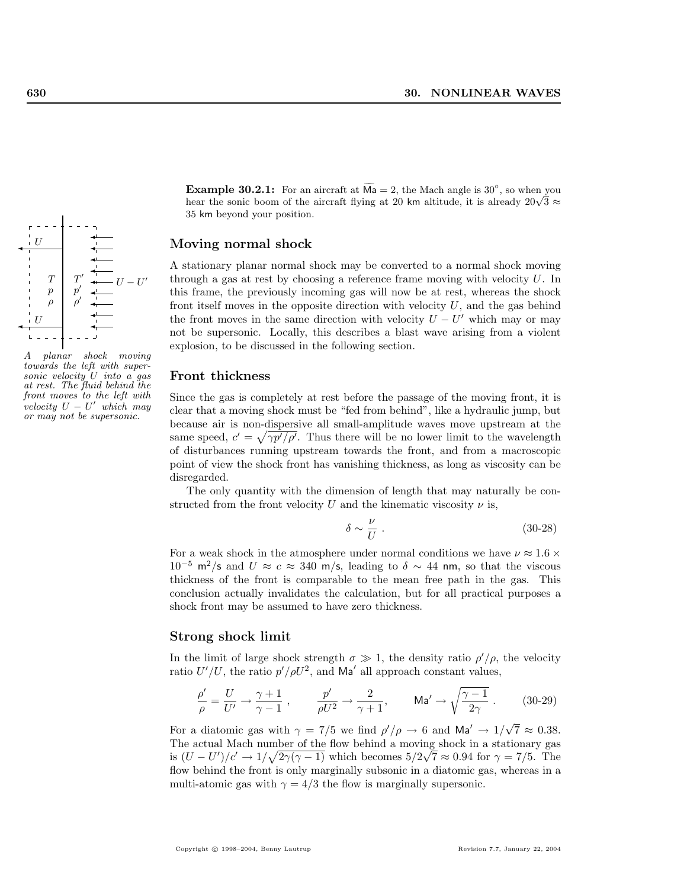

A planar shock moving towards the left with supersonic velocity  $U$  into  $a$  gas at rest. The fluid behind the front moves to the left with velocity  $U - U'$  which may or may not be supersonic.

**Example 30.2.1:** For an aircraft at  $\widetilde{Ma} = 2$ , the Mach angle is 30<sup>°</sup>, so when you **EXAMPLE SO.2.1:** For an aircraft at  $M = 2$ , the Mach angle is 30, so when you hear the sonic boom of the aircraft flying at 20 km altitude, it is already  $20\sqrt{3} \approx$ 35 km beyond your position.

## Moving normal shock

A stationary planar normal shock may be converted to a normal shock moving through a gas at rest by choosing a reference frame moving with velocity  $U$ . In this frame, the previously incoming gas will now be at rest, whereas the shock front itself moves in the opposite direction with velocity  $U$ , and the gas behind the front moves in the same direction with velocity  $U - U'$  which may or may not be supersonic. Locally, this describes a blast wave arising from a violent explosion, to be discussed in the following section.

## Front thickness

Since the gas is completely at rest before the passage of the moving front, it is clear that a moving shock must be "fed from behind", like a hydraulic jump, but because air is non-dispersive all small-amplitude waves move upstream at the same speed,  $c' = \sqrt{\gamma p'/\rho'}$ . Thus there will be no lower limit to the wavelength of disturbances running upstream towards the front, and from a macroscopic point of view the shock front has vanishing thickness, as long as viscosity can be disregarded.

The only quantity with the dimension of length that may naturally be constructed from the front velocity U and the kinematic viscosity  $\nu$  is,

$$
\delta \sim \frac{\nu}{U} \ . \tag{30-28}
$$

For a weak shock in the atmosphere under normal conditions we have  $\nu \approx 1.6 \times$  $10^{-5}$  m<sup>2</sup>/s and  $U \approx c \approx 340$  m/s, leading to  $\delta \sim 44$  nm, so that the viscous thickness of the front is comparable to the mean free path in the gas. This conclusion actually invalidates the calculation, but for all practical purposes a shock front may be assumed to have zero thickness.

#### Strong shock limit

In the limit of large shock strength  $\sigma \gg 1$ , the density ratio  $\rho' / \rho$ , the velocity ratio  $U'/U$ , the ratio  $p'/\rho U^2$ , and Ma' all approach constant values,

$$
\frac{\rho'}{\rho} = \frac{U}{U'} \to \frac{\gamma + 1}{\gamma - 1} , \qquad \frac{p'}{\rho U^2} \to \frac{2}{\gamma + 1}, \qquad \text{Ma'} \to \sqrt{\frac{\gamma - 1}{2\gamma}} . \tag{30-29}
$$

For a diatomic gas with  $\gamma = 7/5$  we find  $\rho' / \rho \to 6$  and  $\text{Ma}' \to 1/\sqrt{ }$  $\overline{7} \approx 0.38.$ The actual Mach number of the flow behind a moving shock in a stationary gas is  $(U-U')/c' \rightarrow 1/\sqrt{2\gamma(\gamma-1)}$  which becomes  $5/2\sqrt{7} \approx 0.94$  for  $\gamma = 7/5$ . The flow behind the front is only marginally subsonic in a diatomic gas, whereas in a multi-atomic gas with  $\gamma = 4/3$  the flow is marginally supersonic.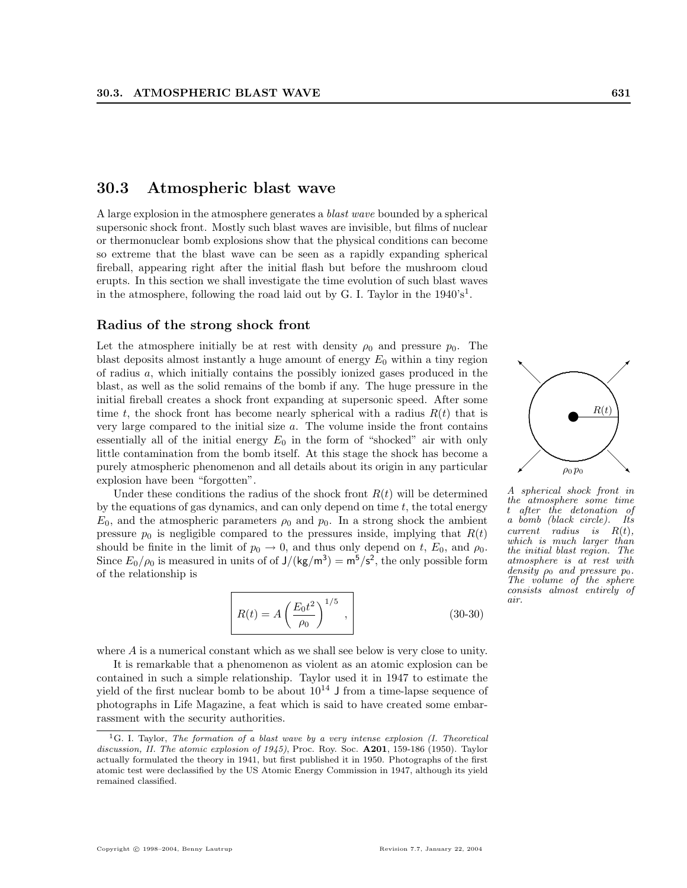## 30.3 Atmospheric blast wave

A large explosion in the atmosphere generates a blast wave bounded by a spherical supersonic shock front. Mostly such blast waves are invisible, but films of nuclear or thermonuclear bomb explosions show that the physical conditions can become so extreme that the blast wave can be seen as a rapidly expanding spherical fireball, appearing right after the initial flash but before the mushroom cloud erupts. In this section we shall investigate the time evolution of such blast waves in the atmosphere, following the road laid out by G. I. Taylor in the  $1940's<sup>1</sup>$ .

## Radius of the strong shock front

Let the atmosphere initially be at rest with density  $\rho_0$  and pressure  $p_0$ . The blast deposits almost instantly a huge amount of energy  $E_0$  within a tiny region of radius a, which initially contains the possibly ionized gases produced in the blast, as well as the solid remains of the bomb if any. The huge pressure in the initial fireball creates a shock front expanding at supersonic speed. After some time t, the shock front has become nearly spherical with a radius  $R(t)$  that is very large compared to the initial size a. The volume inside the front contains essentially all of the initial energy  $E_0$  in the form of "shocked" air with only little contamination from the bomb itself. At this stage the shock has become a purely atmospheric phenomenon and all details about its origin in any particular explosion have been "forgotten".

Under these conditions the radius of the shock front  $R(t)$  will be determined by the equations of gas dynamics, and can only depend on time  $t$ , the total energy  $E_0$ , and the atmospheric parameters  $\rho_0$  and  $p_0$ . In a strong shock the ambient pressure  $p_0$  is negligible compared to the pressures inside, implying that  $R(t)$ should be finite in the limit of  $p_0 \rightarrow 0$ , and thus only depend on t,  $E_0$ , and  $\rho_0$ . Since  $E_0/\rho_0$  is measured in units of of  $J/(kg/m^3) = m^5/s^2$ , the only possible form of the relationship is

$$
R(t) = A \left(\frac{E_0 t^2}{\rho_0}\right)^{1/5},
$$
\n(30-30)

where A is a numerical constant which as we shall see below is very close to unity.

It is remarkable that a phenomenon as violent as an atomic explosion can be contained in such a simple relationship. Taylor used it in 1947 to estimate the yield of the first nuclear bomb to be about  $10^{14}$  J from a time-lapse sequence of photographs in Life Magazine, a feat which is said to have created some embarrassment with the security authorities.



A spherical shock front in the atmosphere some time t after the detonation of a bomb (black circle). Its  $current$  radius is  $R(t)$ , which is much larger than the initial blast region. The atmosphere is at rest with density  $\rho_0$  and pressure  $p_0$ . The volume of the sphere consists almost entirely of air.

<sup>&</sup>lt;sup>1</sup>G. I. Taylor, *The formation of a blast wave by a very intense explosion (I. Theoretical* discussion, II. The atomic explosion of 1945), Proc. Roy. Soc.  $\mathbf{A201}$ , 159-186 (1950). Taylor actually formulated the theory in 1941, but first published it in 1950. Photographs of the first atomic test were declassified by the US Atomic Energy Commission in 1947, although its yield remained classified.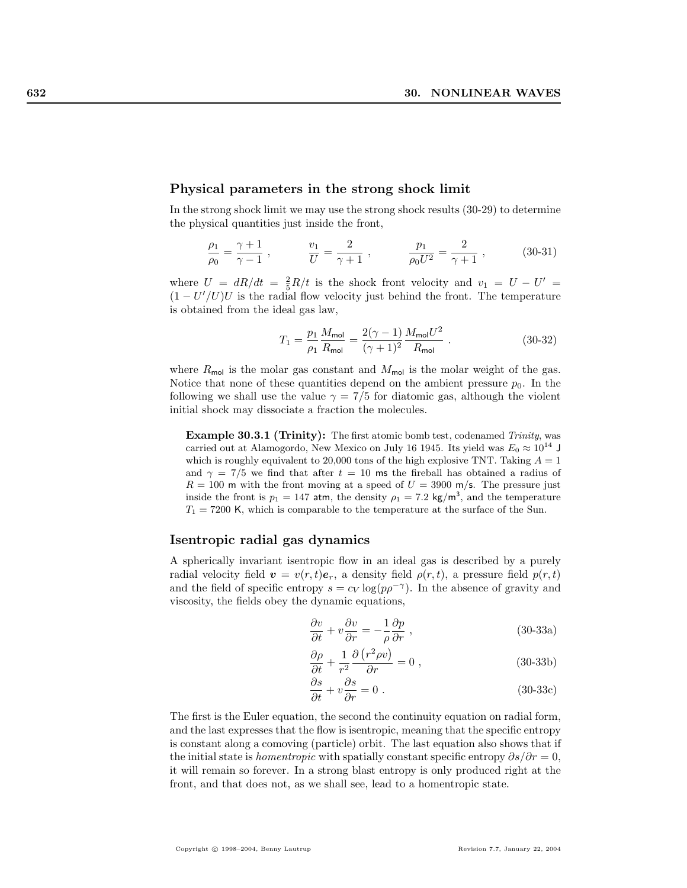#### Physical parameters in the strong shock limit

In the strong shock limit we may use the strong shock results (30-29) to determine the physical quantities just inside the front,

$$
\frac{\rho_1}{\rho_0} = \frac{\gamma + 1}{\gamma - 1} , \qquad \frac{v_1}{U} = \frac{2}{\gamma + 1} , \qquad \frac{p_1}{\rho_0 U^2} = \frac{2}{\gamma + 1} , \qquad (30-31)
$$

where  $U = dR/dt = \frac{2}{5}R/t$  is the shock front velocity and  $v_1 = U - U' =$  $(1-U^{\prime}/U)U$  is the radial flow velocity just behind the front. The temperature is obtained from the ideal gas law,

$$
T_1 = \frac{p_1}{\rho_1} \frac{M_{\text{mol}}}{R_{\text{mol}}} = \frac{2(\gamma - 1)}{(\gamma + 1)^2} \frac{M_{\text{mol}} U^2}{R_{\text{mol}}} \ . \tag{30-32}
$$

where  $R_{\text{mol}}$  is the molar gas constant and  $M_{\text{mol}}$  is the molar weight of the gas. Notice that none of these quantities depend on the ambient pressure  $p_0$ . In the following we shall use the value  $\gamma = 7/5$  for diatomic gas, although the violent initial shock may dissociate a fraction the molecules.

**Example 30.3.1 (Trinity):** The first atomic bomb test, codenamed Trinity, was carried out at Alamogordo, New Mexico on July 16 1945. Its yield was  $E_0 \approx 10^{14}$  J which is roughly equivalent to 20,000 tons of the high explosive TNT. Taking  $A = 1$ and  $\gamma = 7/5$  we find that after  $t = 10$  ms the fireball has obtained a radius of  $R = 100$  m with the front moving at a speed of  $U = 3900$  m/s. The pressure just inside the front is  $p_1 = 147$  atm, the density  $\rho_1 = 7.2 \text{ kg/m}^3$ , and the temperature  $T_1 = 7200$  K, which is comparable to the temperature at the surface of the Sun.

## Isentropic radial gas dynamics

A spherically invariant isentropic flow in an ideal gas is described by a purely radial velocity field  $\mathbf{v} = v(r, t)\mathbf{e}_r$ , a density field  $\rho(r, t)$ , a pressure field  $p(r, t)$ and the field of specific entropy  $s = c_V \log(p \rho^{-\gamma})$ . In the absence of gravity and viscosity, the fields obey the dynamic equations,

$$
\frac{\partial v}{\partial t} + v \frac{\partial v}{\partial r} = -\frac{1}{\rho} \frac{\partial p}{\partial r} , \qquad (30-33a)
$$

$$
\frac{\partial \rho}{\partial t} + \frac{1}{r^2} \frac{\partial (r^2 \rho v)}{\partial r} = 0 , \qquad (30-33b)
$$

$$
\frac{\partial s}{\partial t} + v \frac{\partial s}{\partial r} = 0.
$$
 (30-33c)

The first is the Euler equation, the second the continuity equation on radial form, and the last expresses that the flow is isentropic, meaning that the specific entropy is constant along a comoving (particle) orbit. The last equation also shows that if the initial state is *homentropic* with spatially constant specific entropy  $\partial s/\partial r = 0$ , it will remain so forever. In a strong blast entropy is only produced right at the front, and that does not, as we shall see, lead to a homentropic state.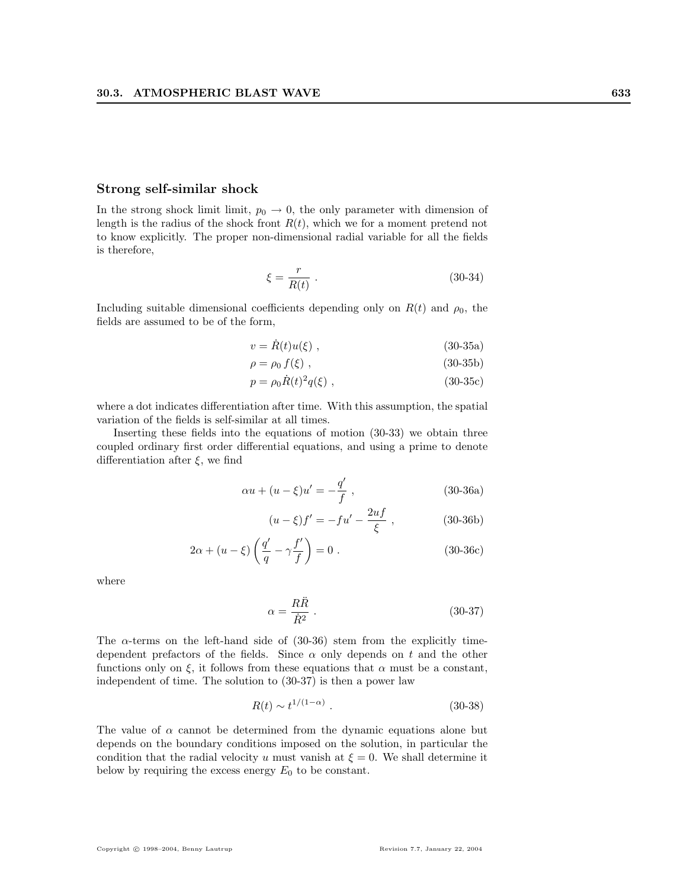## Strong self-similar shock

In the strong shock limit limit,  $p_0 \rightarrow 0$ , the only parameter with dimension of length is the radius of the shock front  $R(t)$ , which we for a moment pretend not to know explicitly. The proper non-dimensional radial variable for all the fields is therefore,

$$
\xi = \frac{r}{R(t)} \tag{30-34}
$$

Including suitable dimensional coefficients depending only on  $R(t)$  and  $\rho_0$ , the fields are assumed to be of the form,

$$
v = \dot{R}(t)u(\xi) , \qquad (30-35a)
$$

$$
\rho = \rho_0 f(\xi) , \qquad (30-35b)
$$

$$
p = \rho_0 \dot{R}(t)^2 q(\xi) , \qquad (30-35c)
$$

where a dot indicates differentiation after time. With this assumption, the spatial variation of the fields is self-similar at all times.

Inserting these fields into the equations of motion (30-33) we obtain three coupled ordinary first order differential equations, and using a prime to denote differentiation after  $\xi$ , we find

$$
\alpha u + (u - \xi)u' = -\frac{q'}{f} , \qquad (30-36a)
$$

$$
(u - \xi)f' = -fu' - \frac{2uf}{\xi} ,
$$
 (30-36b)

$$
2\alpha + (u - \xi) \left(\frac{q'}{q} - \gamma \frac{f'}{f}\right) = 0.
$$
 (30-36c)

where

$$
\alpha = \frac{R\ddot{R}}{\dot{R}^2} \,. \tag{30-37}
$$

The  $\alpha$ -terms on the left-hand side of (30-36) stem from the explicitly timedependent prefactors of the fields. Since  $\alpha$  only depends on t and the other functions only on  $\xi$ , it follows from these equations that  $\alpha$  must be a constant, independent of time. The solution to (30-37) is then a power law

$$
R(t) \sim t^{1/(1-\alpha)} \tag{30-38}
$$

The value of  $\alpha$  cannot be determined from the dynamic equations alone but depends on the boundary conditions imposed on the solution, in particular the condition that the radial velocity u must vanish at  $\xi = 0$ . We shall determine it below by requiring the excess energy  $E_0$  to be constant.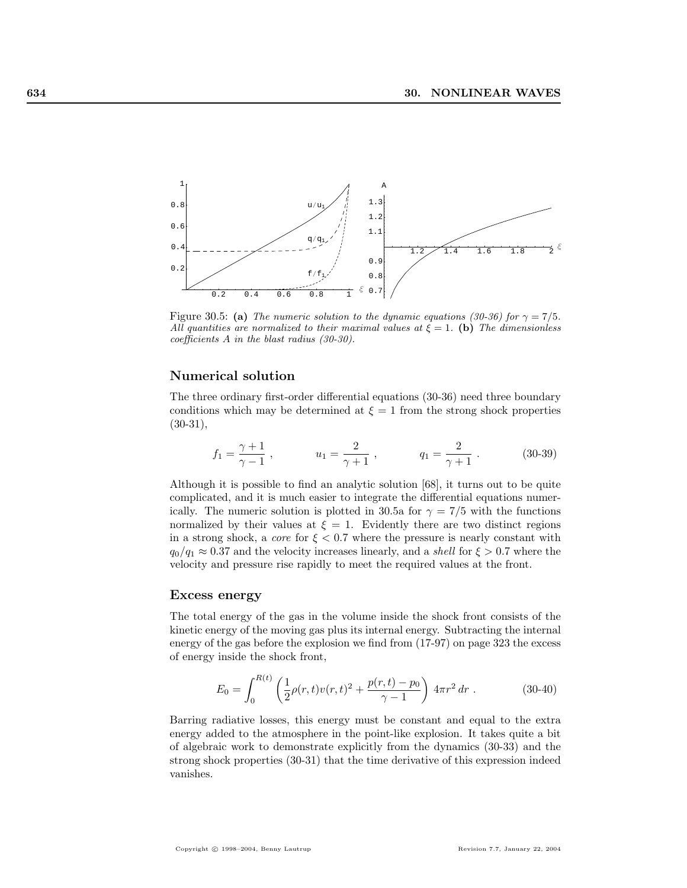

Figure 30.5: (a) The numeric solution to the dynamic equations (30-36) for  $\gamma = 7/5$ . All quantities are normalized to their maximal values at  $\xi = 1$ . (b) The dimensionless coefficients A in the blast radius (30-30).

## Numerical solution

The three ordinary first-order differential equations (30-36) need three boundary conditions which may be determined at  $\xi = 1$  from the strong shock properties (30-31),

$$
f_1 = \frac{\gamma + 1}{\gamma - 1}
$$
,  $u_1 = \frac{2}{\gamma + 1}$ ,  $q_1 = \frac{2}{\gamma + 1}$ . (30-39)

Although it is possible to find an analytic solution [68], it turns out to be quite complicated, and it is much easier to integrate the differential equations numerically. The numeric solution is plotted in 30.5a for  $\gamma = 7/5$  with the functions normalized by their values at  $\xi = 1$ . Evidently there are two distinct regions in a strong shock, a *core* for  $\xi < 0.7$  where the pressure is nearly constant with  $q_0/q_1 \approx 0.37$  and the velocity increases linearly, and a *shell* for  $\xi > 0.7$  where the velocity and pressure rise rapidly to meet the required values at the front.

#### Excess energy

The total energy of the gas in the volume inside the shock front consists of the kinetic energy of the moving gas plus its internal energy. Subtracting the internal energy of the gas before the explosion we find from (17-97) on page 323 the excess of energy inside the shock front,

$$
E_0 = \int_0^{R(t)} \left( \frac{1}{2} \rho(r, t) v(r, t)^2 + \frac{p(r, t) - p_0}{\gamma - 1} \right) 4\pi r^2 dr . \qquad (30-40)
$$

Barring radiative losses, this energy must be constant and equal to the extra energy added to the atmosphere in the point-like explosion. It takes quite a bit of algebraic work to demonstrate explicitly from the dynamics (30-33) and the strong shock properties (30-31) that the time derivative of this expression indeed vanishes.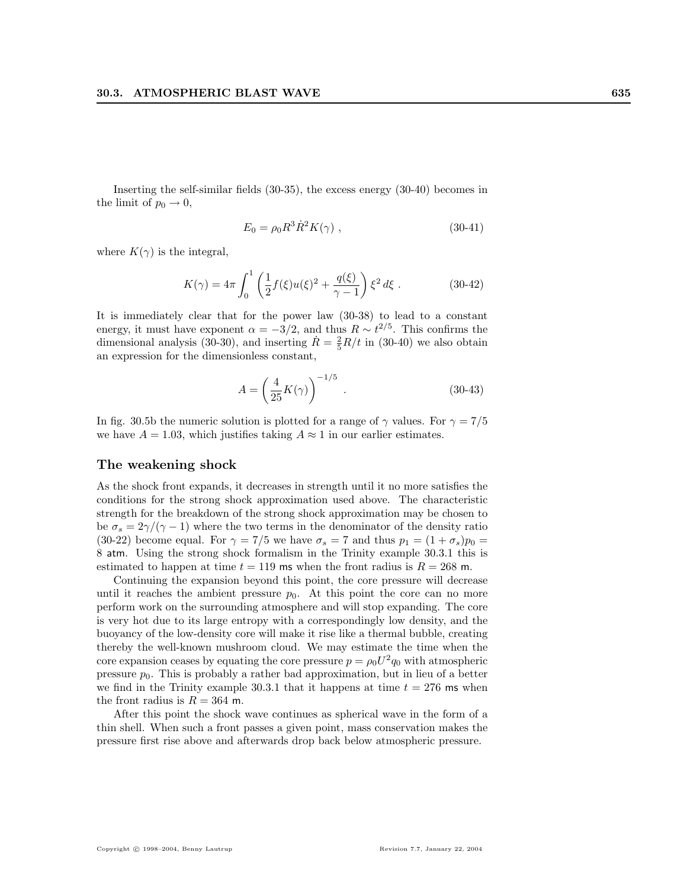Inserting the self-similar fields (30-35), the excess energy (30-40) becomes in the limit of  $p_0 \rightarrow 0$ ,

$$
E_0 = \rho_0 R^3 \dot{R}^2 K(\gamma) , \qquad (30-41)
$$

where  $K(\gamma)$  is the integral,

$$
K(\gamma) = 4\pi \int_0^1 \left( \frac{1}{2} f(\xi) u(\xi)^2 + \frac{q(\xi)}{\gamma - 1} \right) \xi^2 d\xi . \tag{30-42}
$$

It is immediately clear that for the power law (30-38) to lead to a constant energy, it must have exponent  $\alpha = -3/2$ , and thus  $R \sim t^{2/5}$ . This confirms the dimensional analysis (30-30), and inserting  $\dot{R} = \frac{2}{5}R/t$  in (30-40) we also obtain an expression for the dimensionless constant,

$$
A = \left(\frac{4}{25}K(\gamma)\right)^{-1/5} .
$$
 (30-43)

In fig. 30.5b the numeric solution is plotted for a range of  $\gamma$  values. For  $\gamma = 7/5$ we have  $A = 1.03$ , which justifies taking  $A \approx 1$  in our earlier estimates.

## The weakening shock

As the shock front expands, it decreases in strength until it no more satisfies the conditions for the strong shock approximation used above. The characteristic strength for the breakdown of the strong shock approximation may be chosen to be  $\sigma_s = 2\gamma/(\gamma - 1)$  where the two terms in the denominator of the density ratio (30-22) become equal. For  $\gamma = 7/5$  we have  $\sigma_s = 7$  and thus  $p_1 = (1 + \sigma_s)p_0 =$ 8 atm. Using the strong shock formalism in the Trinity example 30.3.1 this is estimated to happen at time  $t = 119$  ms when the front radius is  $R = 268$  m.

Continuing the expansion beyond this point, the core pressure will decrease until it reaches the ambient pressure  $p_0$ . At this point the core can no more perform work on the surrounding atmosphere and will stop expanding. The core is very hot due to its large entropy with a correspondingly low density, and the buoyancy of the low-density core will make it rise like a thermal bubble, creating thereby the well-known mushroom cloud. We may estimate the time when the core expansion ceases by equating the core pressure  $p = \rho_0 U^2 q_0$  with atmospheric pressure  $p_0$ . This is probably a rather bad approximation, but in lieu of a better we find in the Trinity example 30.3.1 that it happens at time  $t = 276$  ms when the front radius is  $R = 364$  m.

After this point the shock wave continues as spherical wave in the form of a thin shell. When such a front passes a given point, mass conservation makes the pressure first rise above and afterwards drop back below atmospheric pressure.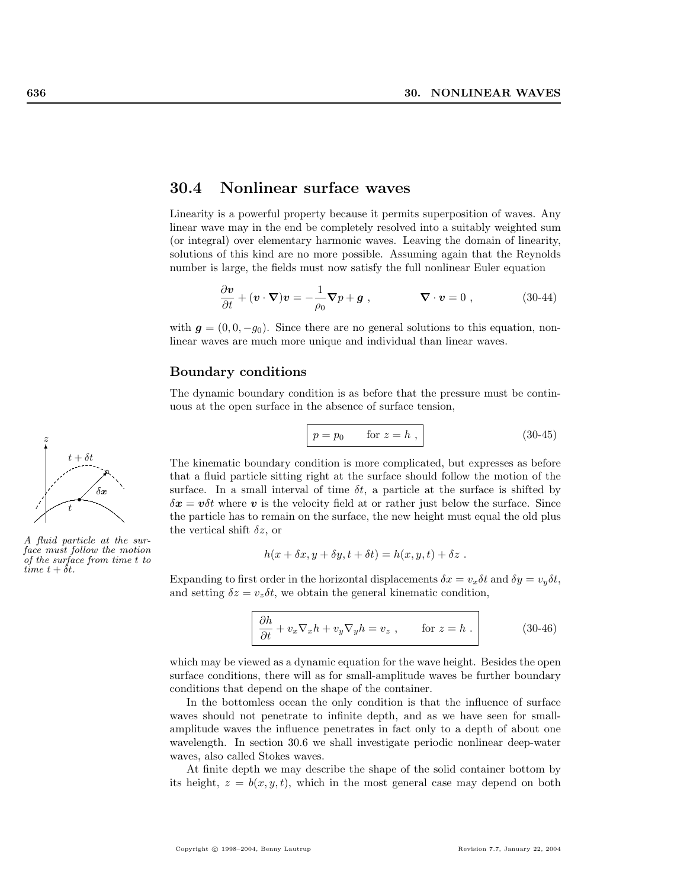## 30.4 Nonlinear surface waves

Linearity is a powerful property because it permits superposition of waves. Any linear wave may in the end be completely resolved into a suitably weighted sum (or integral) over elementary harmonic waves. Leaving the domain of linearity, solutions of this kind are no more possible. Assuming again that the Reynolds number is large, the fields must now satisfy the full nonlinear Euler equation

$$
\frac{\partial v}{\partial t} + (v \cdot \nabla)v = -\frac{1}{\rho_0} \nabla p + g , \qquad \nabla \cdot v = 0 , \qquad (30-44)
$$

with  $g = (0, 0, -g_0)$ . Since there are no general solutions to this equation, nonlinear waves are much more unique and individual than linear waves.

## Boundary conditions

The dynamic boundary condition is as before that the pressure must be continuous at the open surface in the absence of surface tension,

$$
p = p_0 \qquad \text{for } z = h ,
$$
\n
$$
(30-45)
$$

The kinematic boundary condition is more complicated, but expresses as before that a fluid particle sitting right at the surface should follow the motion of the surface. In a small interval of time  $\delta t$ , a particle at the surface is shifted by  $\delta x = v \delta t$  where v is the velocity field at or rather just below the surface. Since the particle has to remain on the surface, the new height must equal the old plus the vertical shift  $\delta z$ , or

$$
h(x + \delta x, y + \delta y, t + \delta t) = h(x, y, t) + \delta z.
$$

Expanding to first order in the horizontal displacements  $\delta x = v_x \delta t$  and  $\delta y = v_y \delta t$ , and setting  $\delta z = v_z \delta t$ , we obtain the general kinematic condition,

$$
\frac{\partial h}{\partial t} + v_x \nabla_x h + v_y \nabla_y h = v_z , \qquad \text{for } z = h .
$$
 (30-46)

which may be viewed as a dynamic equation for the wave height. Besides the open surface conditions, there will as for small-amplitude waves be further boundary conditions that depend on the shape of the container.

In the bottomless ocean the only condition is that the influence of surface waves should not penetrate to infinite depth, and as we have seen for smallamplitude waves the influence penetrates in fact only to a depth of about one wavelength. In section 30.6 we shall investigate periodic nonlinear deep-water waves, also called Stokes waves.

At finite depth we may describe the shape of the solid container bottom by its height,  $z = b(x, y, t)$ , which in the most general case may depend on both



A fluid particle at the surface must follow the motion of the surface from time t to time  $t + \delta t$ .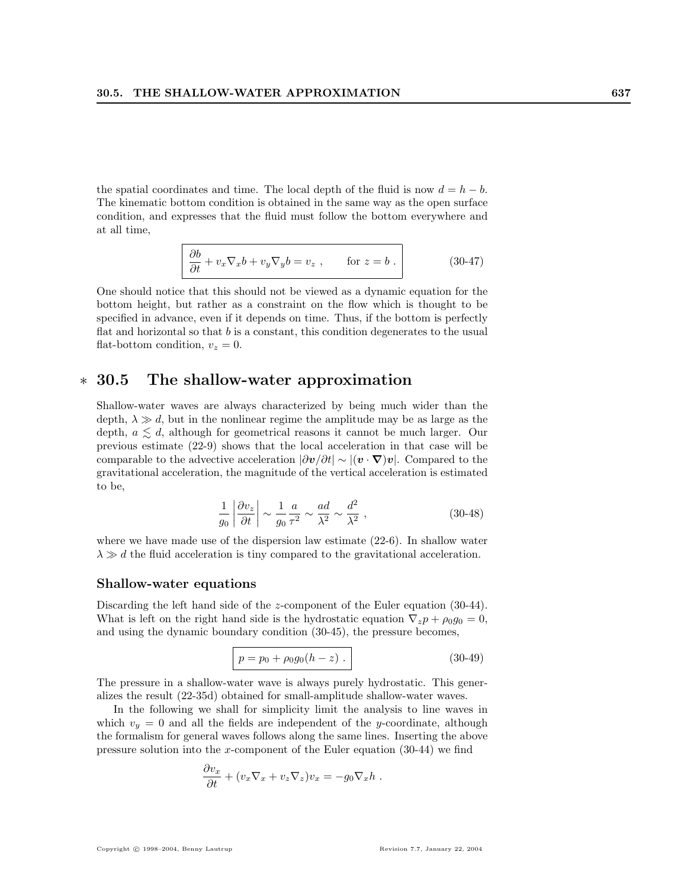the spatial coordinates and time. The local depth of the fluid is now  $d = h - b$ . The kinematic bottom condition is obtained in the same way as the open surface condition, and expresses that the fluid must follow the bottom everywhere and at all time,

$$
\frac{\partial b}{\partial t} + v_x \nabla_x b + v_y \nabla_y b = v_z , \qquad \text{for } z = b .
$$
 (30-47)

One should notice that this should not be viewed as a dynamic equation for the bottom height, but rather as a constraint on the flow which is thought to be specified in advance, even if it depends on time. Thus, if the bottom is perfectly flat and horizontal so that  $b$  is a constant, this condition degenerates to the usual flat-bottom condition,  $v_z = 0$ .

## ∗ 30.5 The shallow-water approximation

Shallow-water waves are always characterized by being much wider than the depth,  $\lambda \gg d$ , but in the nonlinear regime the amplitude may be as large as the depth,  $a \leq d$ , although for geometrical reasons it cannot be much larger. Our previous estimate (22-9) shows that the local acceleration in that case will be comparable to the advective acceleration  $|\partial v/\partial t| \sim |(v \cdot \nabla) v|$ . Compared to the gravitational acceleration, the magnitude of the vertical acceleration is estimated to be,

$$
\frac{1}{g_0} \left| \frac{\partial v_z}{\partial t} \right| \sim \frac{1}{g_0} \frac{a}{\tau^2} \sim \frac{ad}{\lambda^2} \sim \frac{d^2}{\lambda^2} ,\qquad (30-48)
$$

where we have made use of the dispersion law estimate (22-6). In shallow water  $\lambda \gg d$  the fluid acceleration is tiny compared to the gravitational acceleration.

## Shallow-water equations

Discarding the left hand side of the *z*-component of the Euler equation (30-44). What is left on the right hand side is the hydrostatic equation  $\nabla_z p + \rho_0 g_0 = 0$ , and using the dynamic boundary condition (30-45), the pressure becomes,

$$
p = p_0 + \rho_0 g_0 (h - z) . \tag{30-49}
$$

The pressure in a shallow-water wave is always purely hydrostatic. This generalizes the result (22-35d) obtained for small-amplitude shallow-water waves.

In the following we shall for simplicity limit the analysis to line waves in which  $v_y = 0$  and all the fields are independent of the y-coordinate, although the formalism for general waves follows along the same lines. Inserting the above pressure solution into the x-component of the Euler equation  $(30-44)$  we find

$$
\frac{\partial v_x}{\partial t} + (v_x \nabla_x + v_z \nabla_z)v_x = -g_0 \nabla_x h.
$$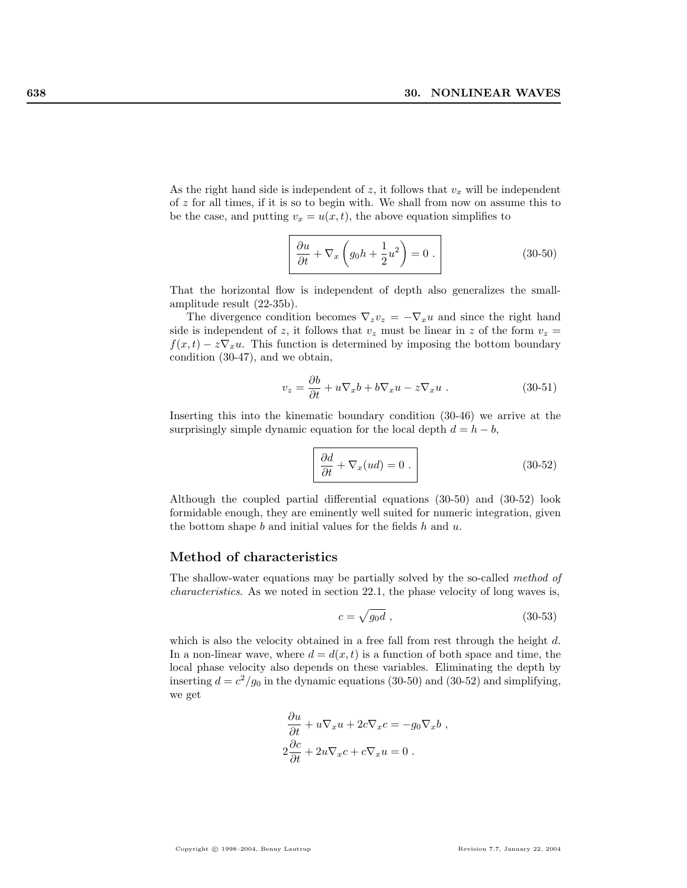As the right hand side is independent of  $z$ , it follows that  $v_x$  will be independent of z for all times, if it is so to begin with. We shall from now on assume this to be the case, and putting  $v_x = u(x, t)$ , the above equation simplifies to

$$
\frac{\partial u}{\partial t} + \nabla_x \left( g_0 h + \frac{1}{2} u^2 \right) = 0 . \tag{30-50}
$$

That the horizontal flow is independent of depth also generalizes the smallamplitude result (22-35b).

The divergence condition becomes  $\nabla_z v_z = -\nabla_x u$  and since the right hand side is independent of z, it follows that  $v_z$  must be linear in z of the form  $v_z =$  $f(x, t) - z\nabla_x u$ . This function is determined by imposing the bottom boundary condition (30-47), and we obtain,

$$
v_z = \frac{\partial b}{\partial t} + u \nabla_x b + b \nabla_x u - z \nabla_x u . \qquad (30-51)
$$

Inserting this into the kinematic boundary condition (30-46) we arrive at the surprisingly simple dynamic equation for the local depth  $d = h - b$ ,

$$
\frac{\partial d}{\partial t} + \nabla_x (ud) = 0.
$$
 (30-52)

Although the coupled partial differential equations (30-50) and (30-52) look formidable enough, they are eminently well suited for numeric integration, given the bottom shape  $b$  and initial values for the fields  $h$  and  $u$ .

#### Method of characteristics

The shallow-water equations may be partially solved by the so-called method of characteristics. As we noted in section 22.1, the phase velocity of long waves is,

$$
c = \sqrt{g_0 d} \tag{30-53}
$$

which is also the velocity obtained in a free fall from rest through the height  $d$ . In a non-linear wave, where  $d = d(x, t)$  is a function of both space and time, the local phase velocity also depends on these variables. Eliminating the depth by inserting  $d = c^2/g_0$  in the dynamic equations (30-50) and (30-52) and simplifying, we get

$$
\frac{\partial u}{\partial t} + u \nabla_x u + 2c \nabla_x c = -g_0 \nabla_x b ,
$$
  

$$
2 \frac{\partial c}{\partial t} + 2u \nabla_x c + c \nabla_x u = 0 .
$$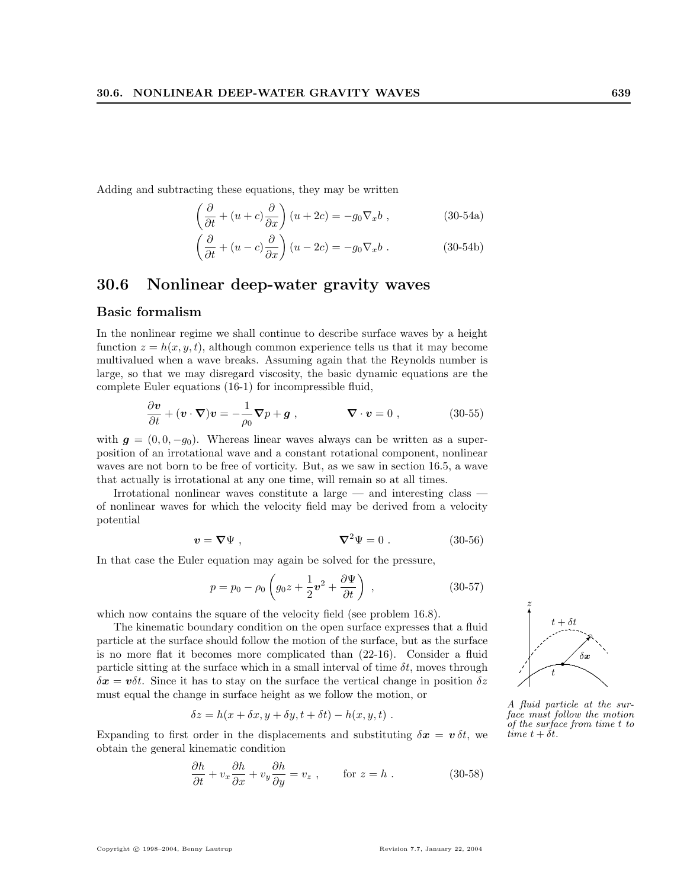Adding and subtracting these equations, they may be written

$$
\left(\frac{\partial}{\partial t} + (u+c)\frac{\partial}{\partial x}\right)(u+2c) = -g_0 \nabla_x b ,
$$
\n(30-54a)

$$
\left(\frac{\partial}{\partial t} + (u - c)\frac{\partial}{\partial x}\right)(u - 2c) = -g_0 \nabla_x b .
$$
 (30-54b)

## 30.6 Nonlinear deep-water gravity waves

## Basic formalism

In the nonlinear regime we shall continue to describe surface waves by a height function  $z = h(x, y, t)$ , although common experience tells us that it may become multivalued when a wave breaks. Assuming again that the Reynolds number is large, so that we may disregard viscosity, the basic dynamic equations are the complete Euler equations (16-1) for incompressible fluid,

$$
\frac{\partial \mathbf{v}}{\partial t} + (\mathbf{v} \cdot \nabla) \mathbf{v} = -\frac{1}{\rho_0} \nabla p + \mathbf{g} , \qquad \nabla \cdot \mathbf{v} = 0 , \qquad (30-55)
$$

with  $g = (0, 0, -g_0)$ . Whereas linear waves always can be written as a superposition of an irrotational wave and a constant rotational component, nonlinear waves are not born to be free of vorticity. But, as we saw in section 16.5, a wave that actually is irrotational at any one time, will remain so at all times.

Irrotational nonlinear waves constitute a large — and interesting class of nonlinear waves for which the velocity field may be derived from a velocity potential

$$
\mathbf{v} = \nabla \Psi , \qquad \qquad \nabla^2 \Psi = 0 . \qquad (30-56)
$$

In that case the Euler equation may again be solved for the pressure,

$$
p = p_0 - \rho_0 \left( g_0 z + \frac{1}{2} v^2 + \frac{\partial \Psi}{\partial t} \right) , \qquad (30-57)
$$

which now contains the square of the velocity field (see problem 16.8).

The kinematic boundary condition on the open surface expresses that a fluid particle at the surface should follow the motion of the surface, but as the surface is no more flat it becomes more complicated than (22-16). Consider a fluid particle sitting at the surface which in a small interval of time  $\delta t$ , moves through  $\delta x = v \delta t$ . Since it has to stay on the surface the vertical change in position  $\delta z$ must equal the change in surface height as we follow the motion, or

$$
\delta z = h(x + \delta x, y + \delta y, t + \delta t) - h(x, y, t) .
$$

Expanding to first order in the displacements and substituting  $\delta x = v \, \delta t$ , we obtain the general kinematic condition

$$
\frac{\partial h}{\partial t} + v_x \frac{\partial h}{\partial x} + v_y \frac{\partial h}{\partial y} = v_z , \qquad \text{for } z = h .
$$
 (30-58)

A fluid particle at the surface must follow the motion of the surface from time t to time  $t + \delta t$ .

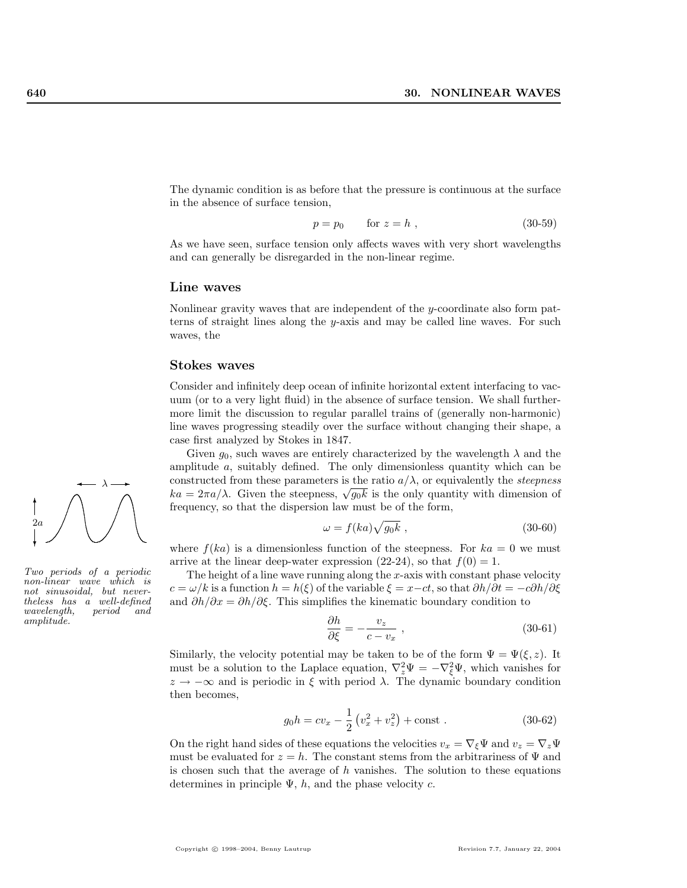The dynamic condition is as before that the pressure is continuous at the surface in the absence of surface tension,

$$
p = p_0 \qquad \text{for } z = h \tag{30-59}
$$

As we have seen, surface tension only affects waves with very short wavelengths and can generally be disregarded in the non-linear regime.

#### Line waves

Nonlinear gravity waves that are independent of the y-coordinate also form patterns of straight lines along the y-axis and may be called line waves. For such waves, the

#### Stokes waves

Consider and infinitely deep ocean of infinite horizontal extent interfacing to vacuum (or to a very light fluid) in the absence of surface tension. We shall furthermore limit the discussion to regular parallel trains of (generally non-harmonic) line waves progressing steadily over the surface without changing their shape, a case first analyzed by Stokes in 1847.

Given  $g_0$ , such waves are entirely characterized by the wavelength  $\lambda$  and the amplitude a, suitably defined. The only dimensionless quantity which can be constructed from these parameters is the ratio  $a/\lambda$ , or equivalently the *steepness* constructed from these parameters is the ratio  $a/\lambda$ , or equivalently the *steepness*  $ka = 2\pi a/\lambda$ . Given the steepness,  $\sqrt{g_0 k}$  is the only quantity with dimension of frequency, so that the dispersion law must be of the form,

$$
\omega = f(ka)\sqrt{g_0k} \ , \tag{30-60}
$$

where  $f(ka)$  is a dimensionless function of the steepness. For  $ka = 0$  we must arrive at the linear deep-water expression (22-24), so that  $f(0) = 1$ .

The height of a line wave running along the  $x$ -axis with constant phase velocity  $c = \omega/k$  is a function  $h = h(\xi)$  of the variable  $\xi = x - ct$ , so that  $\partial h/\partial t = -c\partial h/\partial \xi$ and  $\partial h/\partial x = \partial h/\partial \xi$ . This simplifies the kinematic boundary condition to

$$
\frac{\partial h}{\partial \xi} = -\frac{v_z}{c - v_x} \,,\tag{30-61}
$$

Similarly, the velocity potential may be taken to be of the form  $\Psi = \Psi(\xi, z)$ . It must be a solution to the Laplace equation,  $\nabla_z^2 \Psi = -\nabla_{\xi}^2 \Psi$ , which vanishes for  $z \to -\infty$  and is periodic in  $\xi$  with period  $\lambda$ . The dynamic boundary condition then becomes,

$$
g_0 h = c v_x - \frac{1}{2} \left( v_x^2 + v_z^2 \right) + \text{const} \ . \tag{30-62}
$$

On the right hand sides of these equations the velocities  $v_x = \nabla_{\xi} \Psi$  and  $v_z = \nabla_z \Psi$ must be evaluated for  $z = h$ . The constant stems from the arbitrariness of  $\Psi$  and is chosen such that the average of  $h$  vanishes. The solution to these equations determines in principle  $\Psi$ , h, and the phase velocity c.



Two periods of a periodic non-linear wave which is not sinusoidal, but nevertheless has a well-defined wavelength, period and amplitude.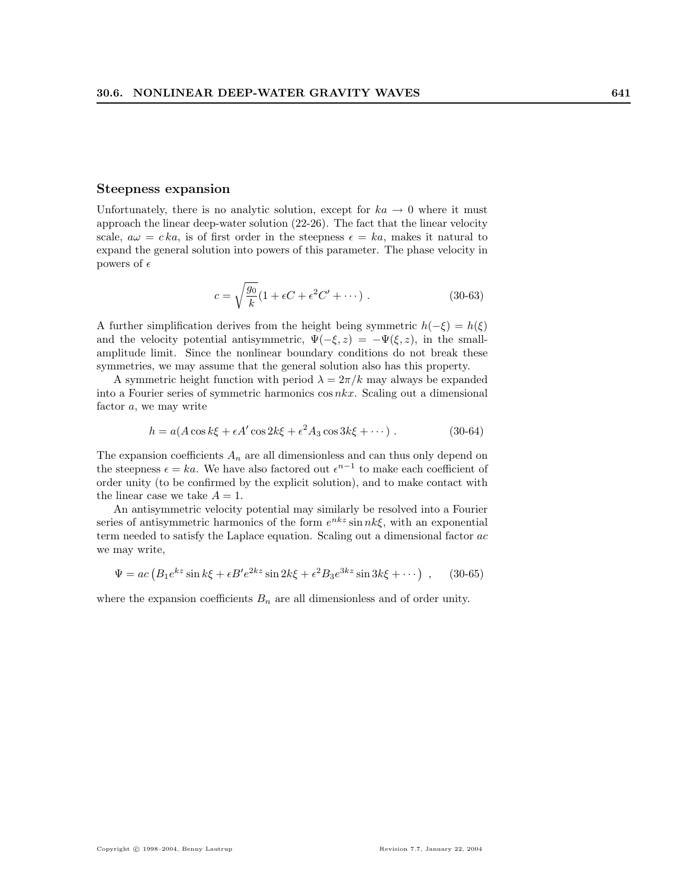#### Steepness expansion

Unfortunately, there is no analytic solution, except for  $ka \rightarrow 0$  where it must approach the linear deep-water solution (22-26). The fact that the linear velocity scale,  $a\omega = c k a$ , is of first order in the steepness  $\epsilon = k a$ , makes it natural to expand the general solution into powers of this parameter. The phase velocity in powers of  $\epsilon$ 

$$
c = \sqrt{\frac{g_0}{k}} (1 + \epsilon C + \epsilon^2 C' + \cdots).
$$
 (30-63)

A further simplification derives from the height being symmetric  $h(-\xi) = h(\xi)$ and the velocity potential antisymmetric,  $\Psi(-\xi, z) = -\Psi(\xi, z)$ , in the smallamplitude limit. Since the nonlinear boundary conditions do not break these symmetries, we may assume that the general solution also has this property.

A symmetric height function with period  $\lambda = 2\pi/k$  may always be expanded into a Fourier series of symmetric harmonics cos nkx. Scaling out a dimensional factor a, we may write

$$
h = a(A\cos k\xi + \epsilon A'\cos 2k\xi + \epsilon^2 A_3\cos 3k\xi + \cdots)
$$
 (30-64)

The expansion coefficients  $A_n$  are all dimensionless and can thus only depend on the steepness  $\epsilon = ka$ . We have also factored out  $\epsilon^{n-1}$  to make each coefficient of order unity (to be confirmed by the explicit solution), and to make contact with the linear case we take  $A = 1$ .

An antisymmetric velocity potential may similarly be resolved into a Fourier series of antisymmetric harmonics of the form  $e^{nkz} \sin nk\xi$ , with an exponential term needed to satisfy the Laplace equation. Scaling out a dimensional factor ac we may write,

$$
\Psi = ac \left( B_1 e^{kz} \sin k\xi + \epsilon B' e^{2kz} \sin 2k\xi + \epsilon^2 B_3 e^{3kz} \sin 3k\xi + \cdots \right) , \quad (30-65)
$$

where the expansion coefficients  $B_n$  are all dimensionless and of order unity.